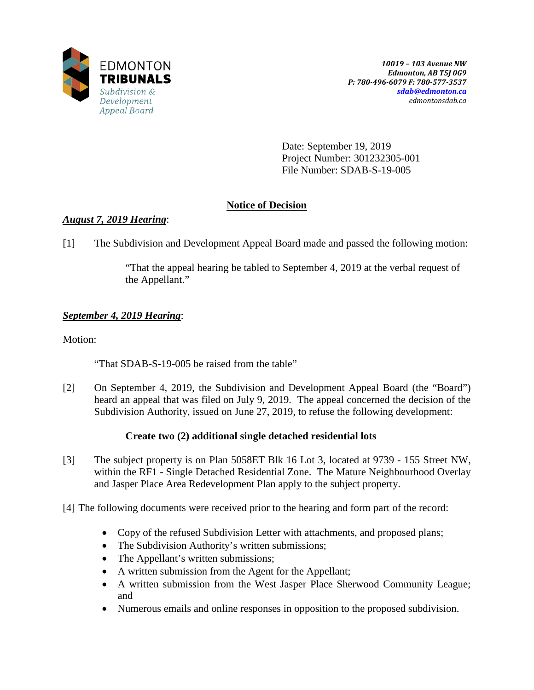

Date: September 19, 2019 Project Number: 301232305-001 File Number: SDAB-S-19-005

# **Notice of Decision**

# *August 7, 2019 Hearing*:

[1] The Subdivision and Development Appeal Board made and passed the following motion:

"That the appeal hearing be tabled to September 4, 2019 at the verbal request of the Appellant."

# *September 4, 2019 Hearing*:

Motion:

"That SDAB-S-19-005 be raised from the table"

[2] On September 4, 2019, the Subdivision and Development Appeal Board (the "Board") heard an appeal that was filed on July 9, 2019. The appeal concerned the decision of the Subdivision Authority, issued on June 27, 2019, to refuse the following development:

## **Create two (2) additional single detached residential lots**

- [3] The subject property is on Plan 5058ET Blk 16 Lot 3, located at 9739 155 Street NW, within the RF1 - Single Detached Residential Zone. The Mature Neighbourhood Overlay and Jasper Place Area Redevelopment Plan apply to the subject property.
- [4] The following documents were received prior to the hearing and form part of the record:
	- Copy of the refused Subdivision Letter with attachments, and proposed plans;
	- The Subdivision Authority's written submissions;
	- The Appellant's written submissions;
	- A written submission from the Agent for the Appellant;
	- A written submission from the West Jasper Place Sherwood Community League; and
	- Numerous emails and online responses in opposition to the proposed subdivision.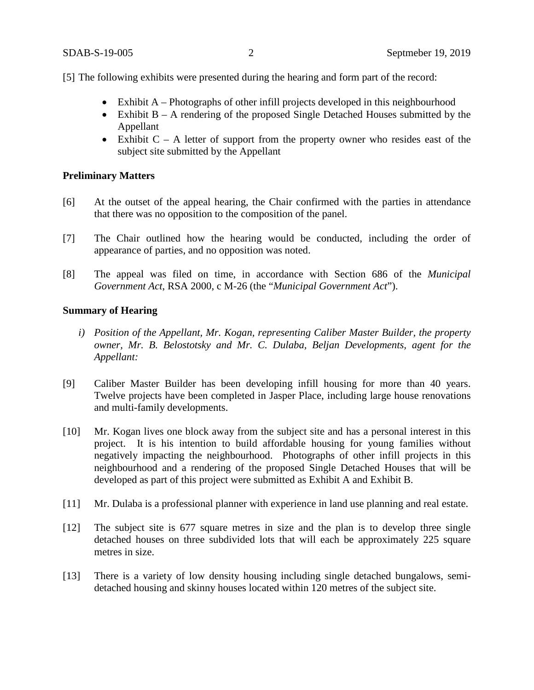[5] The following exhibits were presented during the hearing and form part of the record:

- Exhibit A Photographs of other infill projects developed in this neighbourhood
- Exhibit B A rendering of the proposed Single Detached Houses submitted by the Appellant
- Exhibit  $C A$  letter of support from the property owner who resides east of the subject site submitted by the Appellant

## **Preliminary Matters**

- [6] At the outset of the appeal hearing, the Chair confirmed with the parties in attendance that there was no opposition to the composition of the panel.
- [7] The Chair outlined how the hearing would be conducted, including the order of appearance of parties, and no opposition was noted.
- [8] The appeal was filed on time, in accordance with Section 686 of the *Municipal Government Act*, RSA 2000, c M-26 (the "*Municipal Government Act*").

## **Summary of Hearing**

- *i) Position of the Appellant, Mr. Kogan, representing Caliber Master Builder, the property owner, Mr. B. Belostotsky and Mr. C. Dulaba, Beljan Developments, agent for the Appellant:*
- [9] Caliber Master Builder has been developing infill housing for more than 40 years. Twelve projects have been completed in Jasper Place, including large house renovations and multi-family developments.
- [10] Mr. Kogan lives one block away from the subject site and has a personal interest in this project. It is his intention to build affordable housing for young families without negatively impacting the neighbourhood. Photographs of other infill projects in this neighbourhood and a rendering of the proposed Single Detached Houses that will be developed as part of this project were submitted as Exhibit A and Exhibit B.
- [11] Mr. Dulaba is a professional planner with experience in land use planning and real estate.
- [12] The subject site is 677 square metres in size and the plan is to develop three single detached houses on three subdivided lots that will each be approximately 225 square metres in size.
- [13] There is a variety of low density housing including single detached bungalows, semidetached housing and skinny houses located within 120 metres of the subject site.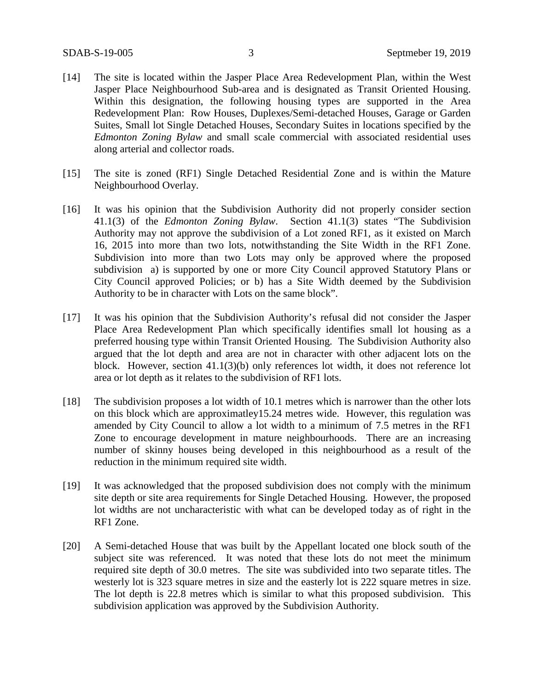- [14] The site is located within the Jasper Place Area Redevelopment Plan, within the West Jasper Place Neighbourhood Sub-area and is designated as Transit Oriented Housing. Within this designation, the following housing types are supported in the Area Redevelopment Plan: Row Houses, Duplexes/Semi-detached Houses, Garage or Garden Suites, Small lot Single Detached Houses, Secondary Suites in locations specified by the *Edmonton Zoning Bylaw* and small scale commercial with associated residential uses along arterial and collector roads.
- [15] The site is zoned (RF1) Single Detached Residential Zone and is within the Mature Neighbourhood Overlay.
- [16] It was his opinion that the Subdivision Authority did not properly consider section 41.1(3) of the *Edmonton Zoning Bylaw*. Section 41.1(3) states "The Subdivision Authority may not approve the subdivision of a Lot zoned RF1, as it existed on March 16, 2015 into more than two lots, notwithstanding the Site Width in the RF1 Zone. Subdivision into more than two Lots may only be approved where the proposed subdivision a) is supported by one or more City Council approved Statutory Plans or City Council approved Policies; or b) has a Site Width deemed by the Subdivision Authority to be in character with Lots on the same block".
- [17] It was his opinion that the Subdivision Authority's refusal did not consider the Jasper Place Area Redevelopment Plan which specifically identifies small lot housing as a preferred housing type within Transit Oriented Housing. The Subdivision Authority also argued that the lot depth and area are not in character with other adjacent lots on the block. However, section 41.1(3)(b) only references lot width, it does not reference lot area or lot depth as it relates to the subdivision of RF1 lots.
- [18] The subdivision proposes a lot width of 10.1 metres which is narrower than the other lots on this block which are approximatley15.24 metres wide. However, this regulation was amended by City Council to allow a lot width to a minimum of 7.5 metres in the RF1 Zone to encourage development in mature neighbourhoods. There are an increasing number of skinny houses being developed in this neighbourhood as a result of the reduction in the minimum required site width.
- [19] It was acknowledged that the proposed subdivision does not comply with the minimum site depth or site area requirements for Single Detached Housing. However, the proposed lot widths are not uncharacteristic with what can be developed today as of right in the RF1 Zone.
- [20] A Semi-detached House that was built by the Appellant located one block south of the subject site was referenced. It was noted that these lots do not meet the minimum required site depth of 30.0 metres. The site was subdivided into two separate titles. The westerly lot is 323 square metres in size and the easterly lot is 222 square metres in size. The lot depth is 22.8 metres which is similar to what this proposed subdivision. This subdivision application was approved by the Subdivision Authority.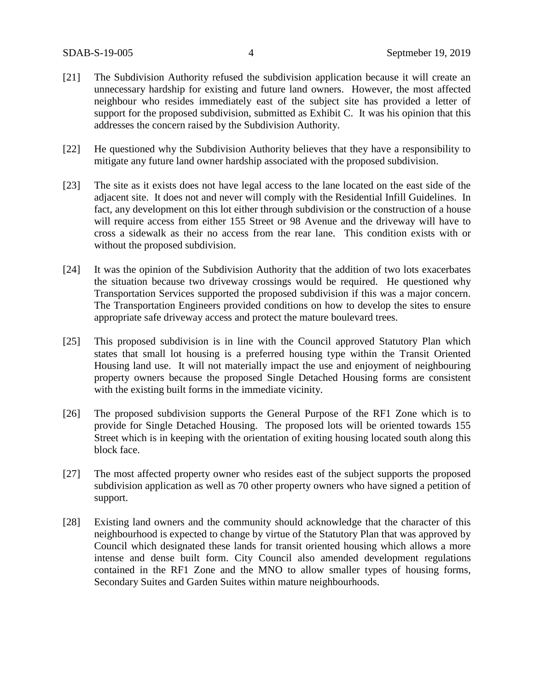- [21] The Subdivision Authority refused the subdivision application because it will create an unnecessary hardship for existing and future land owners. However, the most affected neighbour who resides immediately east of the subject site has provided a letter of support for the proposed subdivision, submitted as Exhibit C. It was his opinion that this addresses the concern raised by the Subdivision Authority.
- [22] He questioned why the Subdivision Authority believes that they have a responsibility to mitigate any future land owner hardship associated with the proposed subdivision.
- [23] The site as it exists does not have legal access to the lane located on the east side of the adjacent site. It does not and never will comply with the Residential Infill Guidelines. In fact, any development on this lot either through subdivision or the construction of a house will require access from either 155 Street or 98 Avenue and the driveway will have to cross a sidewalk as their no access from the rear lane. This condition exists with or without the proposed subdivision.
- [24] It was the opinion of the Subdivision Authority that the addition of two lots exacerbates the situation because two driveway crossings would be required. He questioned why Transportation Services supported the proposed subdivision if this was a major concern. The Transportation Engineers provided conditions on how to develop the sites to ensure appropriate safe driveway access and protect the mature boulevard trees.
- [25] This proposed subdivision is in line with the Council approved Statutory Plan which states that small lot housing is a preferred housing type within the Transit Oriented Housing land use. It will not materially impact the use and enjoyment of neighbouring property owners because the proposed Single Detached Housing forms are consistent with the existing built forms in the immediate vicinity.
- [26] The proposed subdivision supports the General Purpose of the RF1 Zone which is to provide for Single Detached Housing. The proposed lots will be oriented towards 155 Street which is in keeping with the orientation of exiting housing located south along this block face.
- [27] The most affected property owner who resides east of the subject supports the proposed subdivision application as well as 70 other property owners who have signed a petition of support.
- [28] Existing land owners and the community should acknowledge that the character of this neighbourhood is expected to change by virtue of the Statutory Plan that was approved by Council which designated these lands for transit oriented housing which allows a more intense and dense built form. City Council also amended development regulations contained in the RF1 Zone and the MNO to allow smaller types of housing forms, Secondary Suites and Garden Suites within mature neighbourhoods.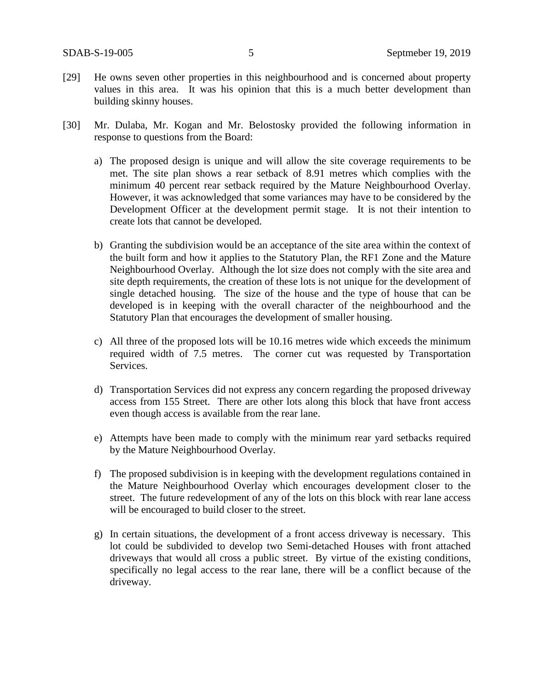- [29] He owns seven other properties in this neighbourhood and is concerned about property values in this area. It was his opinion that this is a much better development than building skinny houses.
- [30] Mr. Dulaba, Mr. Kogan and Mr. Belostosky provided the following information in response to questions from the Board:
	- a) The proposed design is unique and will allow the site coverage requirements to be met. The site plan shows a rear setback of 8.91 metres which complies with the minimum 40 percent rear setback required by the Mature Neighbourhood Overlay. However, it was acknowledged that some variances may have to be considered by the Development Officer at the development permit stage. It is not their intention to create lots that cannot be developed.
	- b) Granting the subdivision would be an acceptance of the site area within the context of the built form and how it applies to the Statutory Plan, the RF1 Zone and the Mature Neighbourhood Overlay. Although the lot size does not comply with the site area and site depth requirements, the creation of these lots is not unique for the development of single detached housing. The size of the house and the type of house that can be developed is in keeping with the overall character of the neighbourhood and the Statutory Plan that encourages the development of smaller housing.
	- c) All three of the proposed lots will be 10.16 metres wide which exceeds the minimum required width of 7.5 metres. The corner cut was requested by Transportation Services.
	- d) Transportation Services did not express any concern regarding the proposed driveway access from 155 Street. There are other lots along this block that have front access even though access is available from the rear lane.
	- e) Attempts have been made to comply with the minimum rear yard setbacks required by the Mature Neighbourhood Overlay.
	- f) The proposed subdivision is in keeping with the development regulations contained in the Mature Neighbourhood Overlay which encourages development closer to the street. The future redevelopment of any of the lots on this block with rear lane access will be encouraged to build closer to the street.
	- g) In certain situations, the development of a front access driveway is necessary. This lot could be subdivided to develop two Semi-detached Houses with front attached driveways that would all cross a public street. By virtue of the existing conditions, specifically no legal access to the rear lane, there will be a conflict because of the driveway.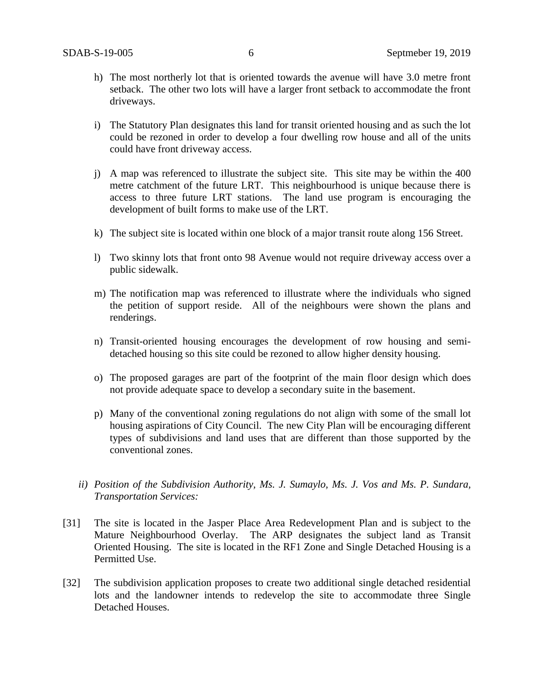- h) The most northerly lot that is oriented towards the avenue will have 3.0 metre front setback. The other two lots will have a larger front setback to accommodate the front driveways.
- i) The Statutory Plan designates this land for transit oriented housing and as such the lot could be rezoned in order to develop a four dwelling row house and all of the units could have front driveway access.
- j) A map was referenced to illustrate the subject site. This site may be within the 400 metre catchment of the future LRT. This neighbourhood is unique because there is access to three future LRT stations. The land use program is encouraging the development of built forms to make use of the LRT.
- k) The subject site is located within one block of a major transit route along 156 Street.
- l) Two skinny lots that front onto 98 Avenue would not require driveway access over a public sidewalk.
- m) The notification map was referenced to illustrate where the individuals who signed the petition of support reside. All of the neighbours were shown the plans and renderings.
- n) Transit-oriented housing encourages the development of row housing and semidetached housing so this site could be rezoned to allow higher density housing.
- o) The proposed garages are part of the footprint of the main floor design which does not provide adequate space to develop a secondary suite in the basement.
- p) Many of the conventional zoning regulations do not align with some of the small lot housing aspirations of City Council. The new City Plan will be encouraging different types of subdivisions and land uses that are different than those supported by the conventional zones.
- *ii) Position of the Subdivision Authority, Ms. J. Sumaylo, Ms. J. Vos and Ms. P. Sundara, Transportation Services:*
- [31] The site is located in the Jasper Place Area Redevelopment Plan and is subject to the Mature Neighbourhood Overlay. The ARP designates the subject land as Transit Oriented Housing. The site is located in the RF1 Zone and Single Detached Housing is a Permitted Use.
- [32] The subdivision application proposes to create two additional single detached residential lots and the landowner intends to redevelop the site to accommodate three Single Detached Houses.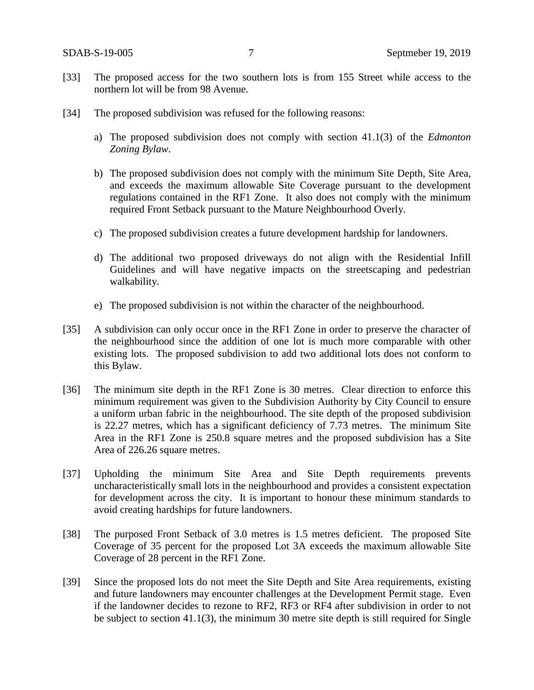- [33] The proposed access for the two southern lots is from 155 Street while access to the northern lot will be from 98 Avenue.
- [34] The proposed subdivision was refused for the following reasons:
	- a) The proposed subdivision does not comply with section 41.1(3) of the *Edmonton Zoning Bylaw*.
	- b) The proposed subdivision does not comply with the minimum Site Depth, Site Area, and exceeds the maximum allowable Site Coverage pursuant to the development regulations contained in the RF1 Zone. It also does not comply with the minimum required Front Setback pursuant to the Mature Neighbourhood Overly.
	- c) The proposed subdivision creates a future development hardship for landowners.
	- d) The additional two proposed driveways do not align with the Residential Infill Guidelines and will have negative impacts on the streetscaping and pedestrian walkability.
	- e) The proposed subdivision is not within the character of the neighbourhood.
- [35] A subdivision can only occur once in the RF1 Zone in order to preserve the character of the neighbourhood since the addition of one lot is much more comparable with other existing lots. The proposed subdivision to add two additional lots does not conform to this Bylaw.
- [36] The minimum site depth in the RF1 Zone is 30 metres. Clear direction to enforce this minimum requirement was given to the Subdivision Authority by City Council to ensure a uniform urban fabric in the neighbourhood. The site depth of the proposed subdivision is 22.27 metres, which has a significant deficiency of 7.73 metres. The minimum Site Area in the RF1 Zone is 250.8 square metres and the proposed subdivision has a Site Area of 226.26 square metres.
- [37] Upholding the minimum Site Area and Site Depth requirements prevents uncharacteristically small lots in the neighbourhood and provides a consistent expectation for development across the city. It is important to honour these minimum standards to avoid creating hardships for future landowners.
- [38] The purposed Front Setback of 3.0 metres is 1.5 metres deficient. The proposed Site Coverage of 35 percent for the proposed Lot 3A exceeds the maximum allowable Site Coverage of 28 percent in the RF1 Zone.
- [39] Since the proposed lots do not meet the Site Depth and Site Area requirements, existing and future landowners may encounter challenges at the Development Permit stage. Even if the landowner decides to rezone to RF2, RF3 or RF4 after subdivision in order to not be subject to section 41.1(3), the minimum 30 metre site depth is still required for Single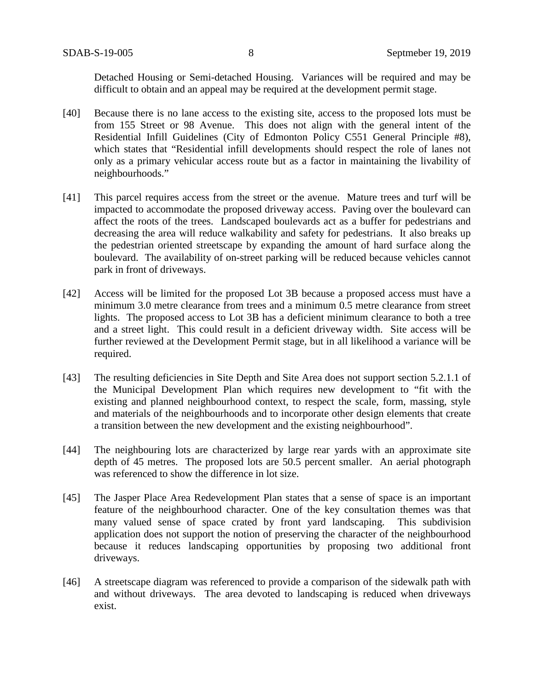Detached Housing or Semi-detached Housing. Variances will be required and may be difficult to obtain and an appeal may be required at the development permit stage.

- [40] Because there is no lane access to the existing site, access to the proposed lots must be from 155 Street or 98 Avenue. This does not align with the general intent of the Residential Infill Guidelines (City of Edmonton Policy C551 General Principle #8), which states that "Residential infill developments should respect the role of lanes not only as a primary vehicular access route but as a factor in maintaining the livability of neighbourhoods."
- [41] This parcel requires access from the street or the avenue. Mature trees and turf will be impacted to accommodate the proposed driveway access. Paving over the boulevard can affect the roots of the trees. Landscaped boulevards act as a buffer for pedestrians and decreasing the area will reduce walkability and safety for pedestrians. It also breaks up the pedestrian oriented streetscape by expanding the amount of hard surface along the boulevard. The availability of on-street parking will be reduced because vehicles cannot park in front of driveways.
- [42] Access will be limited for the proposed Lot 3B because a proposed access must have a minimum 3.0 metre clearance from trees and a minimum 0.5 metre clearance from street lights. The proposed access to Lot 3B has a deficient minimum clearance to both a tree and a street light. This could result in a deficient driveway width. Site access will be further reviewed at the Development Permit stage, but in all likelihood a variance will be required.
- [43] The resulting deficiencies in Site Depth and Site Area does not support section 5.2.1.1 of the Municipal Development Plan which requires new development to "fit with the existing and planned neighbourhood context, to respect the scale, form, massing, style and materials of the neighbourhoods and to incorporate other design elements that create a transition between the new development and the existing neighbourhood".
- [44] The neighbouring lots are characterized by large rear yards with an approximate site depth of 45 metres. The proposed lots are 50.5 percent smaller. An aerial photograph was referenced to show the difference in lot size.
- [45] The Jasper Place Area Redevelopment Plan states that a sense of space is an important feature of the neighbourhood character. One of the key consultation themes was that many valued sense of space crated by front yard landscaping. This subdivision application does not support the notion of preserving the character of the neighbourhood because it reduces landscaping opportunities by proposing two additional front driveways.
- [46] A streetscape diagram was referenced to provide a comparison of the sidewalk path with and without driveways. The area devoted to landscaping is reduced when driveways exist.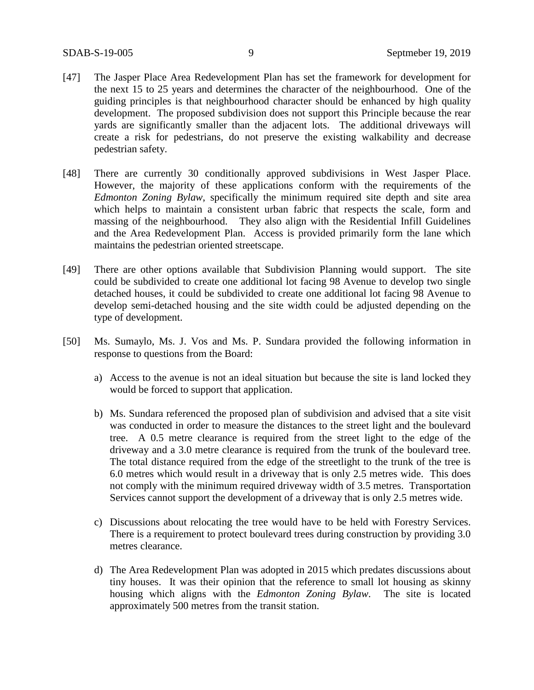- [47] The Jasper Place Area Redevelopment Plan has set the framework for development for the next 15 to 25 years and determines the character of the neighbourhood. One of the guiding principles is that neighbourhood character should be enhanced by high quality development. The proposed subdivision does not support this Principle because the rear yards are significantly smaller than the adjacent lots. The additional driveways will create a risk for pedestrians, do not preserve the existing walkability and decrease pedestrian safety.
- [48] There are currently 30 conditionally approved subdivisions in West Jasper Place. However, the majority of these applications conform with the requirements of the *Edmonton Zoning Bylaw*, specifically the minimum required site depth and site area which helps to maintain a consistent urban fabric that respects the scale, form and massing of the neighbourhood. They also align with the Residential Infill Guidelines and the Area Redevelopment Plan. Access is provided primarily form the lane which maintains the pedestrian oriented streetscape.
- [49] There are other options available that Subdivision Planning would support. The site could be subdivided to create one additional lot facing 98 Avenue to develop two single detached houses, it could be subdivided to create one additional lot facing 98 Avenue to develop semi-detached housing and the site width could be adjusted depending on the type of development.
- [50] Ms. Sumaylo, Ms. J. Vos and Ms. P. Sundara provided the following information in response to questions from the Board:
	- a) Access to the avenue is not an ideal situation but because the site is land locked they would be forced to support that application.
	- b) Ms. Sundara referenced the proposed plan of subdivision and advised that a site visit was conducted in order to measure the distances to the street light and the boulevard tree. A 0.5 metre clearance is required from the street light to the edge of the driveway and a 3.0 metre clearance is required from the trunk of the boulevard tree. The total distance required from the edge of the streetlight to the trunk of the tree is 6.0 metres which would result in a driveway that is only 2.5 metres wide. This does not comply with the minimum required driveway width of 3.5 metres. Transportation Services cannot support the development of a driveway that is only 2.5 metres wide.
	- c) Discussions about relocating the tree would have to be held with Forestry Services. There is a requirement to protect boulevard trees during construction by providing 3.0 metres clearance.
	- d) The Area Redevelopment Plan was adopted in 2015 which predates discussions about tiny houses. It was their opinion that the reference to small lot housing as skinny housing which aligns with the *Edmonton Zoning Bylaw*. The site is located approximately 500 metres from the transit station.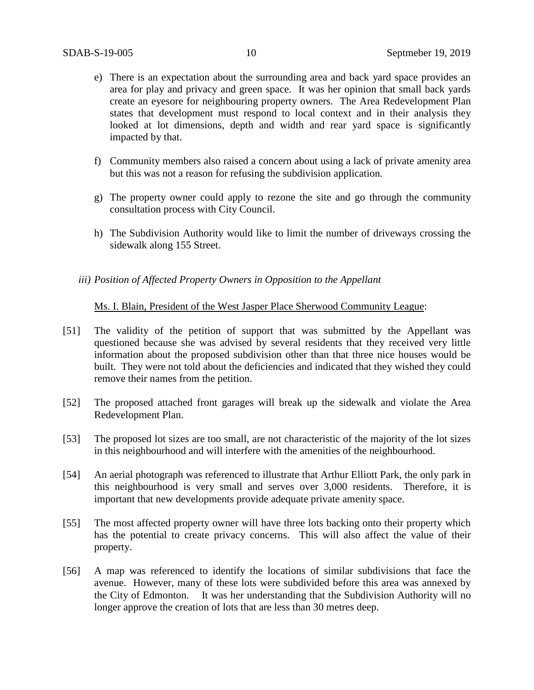- e) There is an expectation about the surrounding area and back yard space provides an area for play and privacy and green space. It was her opinion that small back yards create an eyesore for neighbouring property owners. The Area Redevelopment Plan states that development must respond to local context and in their analysis they looked at lot dimensions, depth and width and rear yard space is significantly impacted by that.
- f) Community members also raised a concern about using a lack of private amenity area but this was not a reason for refusing the subdivision application.
- g) The property owner could apply to rezone the site and go through the community consultation process with City Council.
- h) The Subdivision Authority would like to limit the number of driveways crossing the sidewalk along 155 Street.
- *iii) Position of Affected Property Owners in Opposition to the Appellant*

### Ms. I. Blain, President of the West Jasper Place Sherwood Community League:

- [51] The validity of the petition of support that was submitted by the Appellant was questioned because she was advised by several residents that they received very little information about the proposed subdivision other than that three nice houses would be built. They were not told about the deficiencies and indicated that they wished they could remove their names from the petition.
- [52] The proposed attached front garages will break up the sidewalk and violate the Area Redevelopment Plan.
- [53] The proposed lot sizes are too small, are not characteristic of the majority of the lot sizes in this neighbourhood and will interfere with the amenities of the neighbourhood.
- [54] An aerial photograph was referenced to illustrate that Arthur Elliott Park, the only park in this neighbourhood is very small and serves over 3,000 residents. Therefore, it is important that new developments provide adequate private amenity space.
- [55] The most affected property owner will have three lots backing onto their property which has the potential to create privacy concerns. This will also affect the value of their property.
- [56] A map was referenced to identify the locations of similar subdivisions that face the avenue. However, many of these lots were subdivided before this area was annexed by the City of Edmonton. It was her understanding that the Subdivision Authority will no longer approve the creation of lots that are less than 30 metres deep.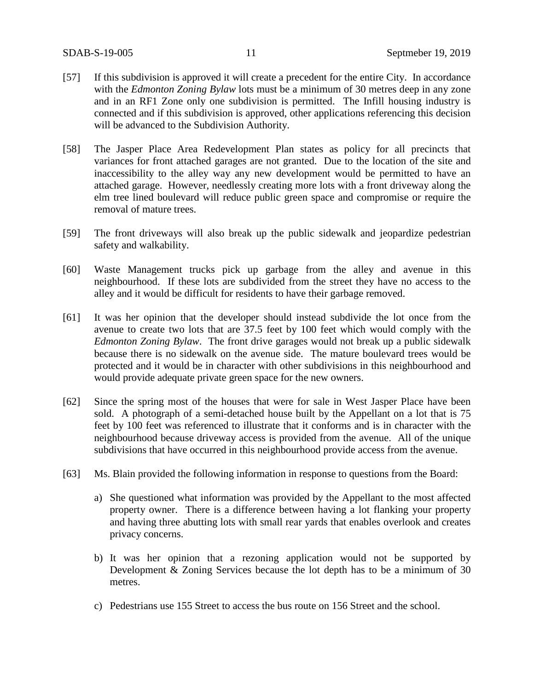- [57] If this subdivision is approved it will create a precedent for the entire City. In accordance with the *Edmonton Zoning Bylaw* lots must be a minimum of 30 metres deep in any zone and in an RF1 Zone only one subdivision is permitted. The Infill housing industry is connected and if this subdivision is approved, other applications referencing this decision will be advanced to the Subdivision Authority.
- [58] The Jasper Place Area Redevelopment Plan states as policy for all precincts that variances for front attached garages are not granted. Due to the location of the site and inaccessibility to the alley way any new development would be permitted to have an attached garage. However, needlessly creating more lots with a front driveway along the elm tree lined boulevard will reduce public green space and compromise or require the removal of mature trees.
- [59] The front driveways will also break up the public sidewalk and jeopardize pedestrian safety and walkability.
- [60] Waste Management trucks pick up garbage from the alley and avenue in this neighbourhood. If these lots are subdivided from the street they have no access to the alley and it would be difficult for residents to have their garbage removed.
- [61] It was her opinion that the developer should instead subdivide the lot once from the avenue to create two lots that are 37.5 feet by 100 feet which would comply with the *Edmonton Zoning Bylaw*. The front drive garages would not break up a public sidewalk because there is no sidewalk on the avenue side. The mature boulevard trees would be protected and it would be in character with other subdivisions in this neighbourhood and would provide adequate private green space for the new owners.
- [62] Since the spring most of the houses that were for sale in West Jasper Place have been sold. A photograph of a semi-detached house built by the Appellant on a lot that is 75 feet by 100 feet was referenced to illustrate that it conforms and is in character with the neighbourhood because driveway access is provided from the avenue. All of the unique subdivisions that have occurred in this neighbourhood provide access from the avenue.
- [63] Ms. Blain provided the following information in response to questions from the Board:
	- a) She questioned what information was provided by the Appellant to the most affected property owner. There is a difference between having a lot flanking your property and having three abutting lots with small rear yards that enables overlook and creates privacy concerns.
	- b) It was her opinion that a rezoning application would not be supported by Development & Zoning Services because the lot depth has to be a minimum of 30 metres.
	- c) Pedestrians use 155 Street to access the bus route on 156 Street and the school.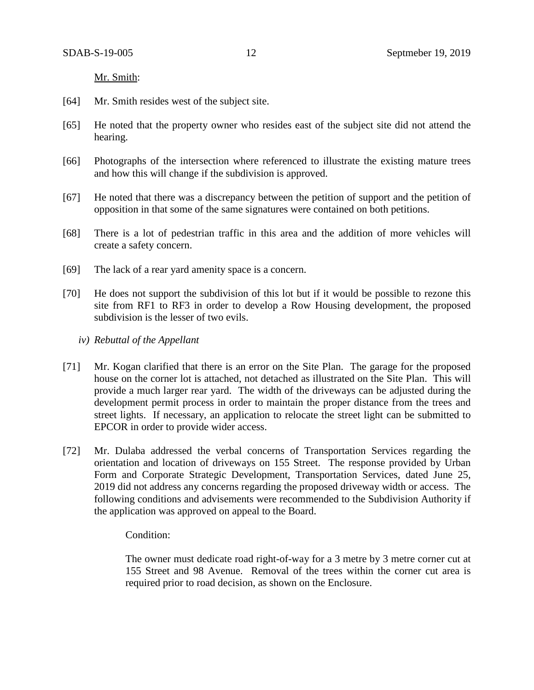Mr. Smith:

- [64] Mr. Smith resides west of the subject site.
- [65] He noted that the property owner who resides east of the subject site did not attend the hearing.
- [66] Photographs of the intersection where referenced to illustrate the existing mature trees and how this will change if the subdivision is approved.
- [67] He noted that there was a discrepancy between the petition of support and the petition of opposition in that some of the same signatures were contained on both petitions.
- [68] There is a lot of pedestrian traffic in this area and the addition of more vehicles will create a safety concern.
- [69] The lack of a rear yard amenity space is a concern.
- [70] He does not support the subdivision of this lot but if it would be possible to rezone this site from RF1 to RF3 in order to develop a Row Housing development, the proposed subdivision is the lesser of two evils.
	- *iv) Rebuttal of the Appellant*
- [71] Mr. Kogan clarified that there is an error on the Site Plan. The garage for the proposed house on the corner lot is attached, not detached as illustrated on the Site Plan. This will provide a much larger rear yard. The width of the driveways can be adjusted during the development permit process in order to maintain the proper distance from the trees and street lights. If necessary, an application to relocate the street light can be submitted to EPCOR in order to provide wider access.
- [72] Mr. Dulaba addressed the verbal concerns of Transportation Services regarding the orientation and location of driveways on 155 Street. The response provided by Urban Form and Corporate Strategic Development, Transportation Services, dated June 25, 2019 did not address any concerns regarding the proposed driveway width or access. The following conditions and advisements were recommended to the Subdivision Authority if the application was approved on appeal to the Board.

#### Condition:

The owner must dedicate road right-of-way for a 3 metre by 3 metre corner cut at 155 Street and 98 Avenue. Removal of the trees within the corner cut area is required prior to road decision, as shown on the Enclosure.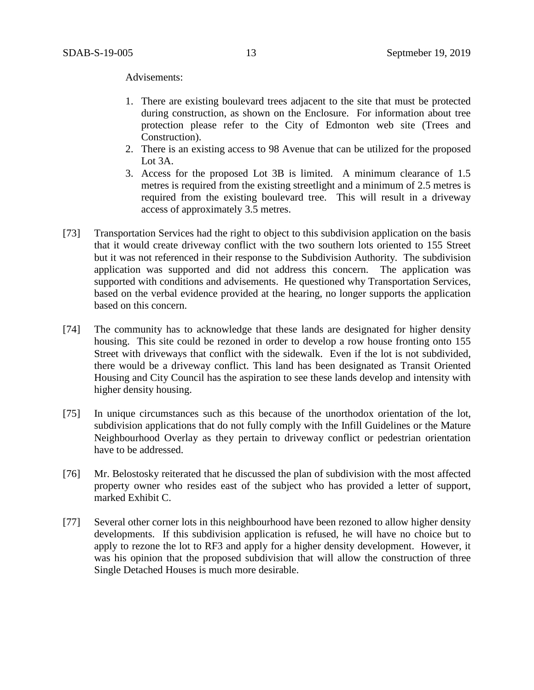Advisements:

- 1. There are existing boulevard trees adjacent to the site that must be protected during construction, as shown on the Enclosure. For information about tree protection please refer to the City of Edmonton web site (Trees and Construction).
- 2. There is an existing access to 98 Avenue that can be utilized for the proposed Lot 3A.
- 3. Access for the proposed Lot 3B is limited. A minimum clearance of 1.5 metres is required from the existing streetlight and a minimum of 2.5 metres is required from the existing boulevard tree. This will result in a driveway access of approximately 3.5 metres.
- [73] Transportation Services had the right to object to this subdivision application on the basis that it would create driveway conflict with the two southern lots oriented to 155 Street but it was not referenced in their response to the Subdivision Authority. The subdivision application was supported and did not address this concern. The application was supported with conditions and advisements. He questioned why Transportation Services, based on the verbal evidence provided at the hearing, no longer supports the application based on this concern.
- [74] The community has to acknowledge that these lands are designated for higher density housing. This site could be rezoned in order to develop a row house fronting onto 155 Street with driveways that conflict with the sidewalk. Even if the lot is not subdivided, there would be a driveway conflict. This land has been designated as Transit Oriented Housing and City Council has the aspiration to see these lands develop and intensity with higher density housing.
- [75] In unique circumstances such as this because of the unorthodox orientation of the lot, subdivision applications that do not fully comply with the Infill Guidelines or the Mature Neighbourhood Overlay as they pertain to driveway conflict or pedestrian orientation have to be addressed.
- [76] Mr. Belostosky reiterated that he discussed the plan of subdivision with the most affected property owner who resides east of the subject who has provided a letter of support, marked Exhibit C.
- [77] Several other corner lots in this neighbourhood have been rezoned to allow higher density developments. If this subdivision application is refused, he will have no choice but to apply to rezone the lot to RF3 and apply for a higher density development. However, it was his opinion that the proposed subdivision that will allow the construction of three Single Detached Houses is much more desirable.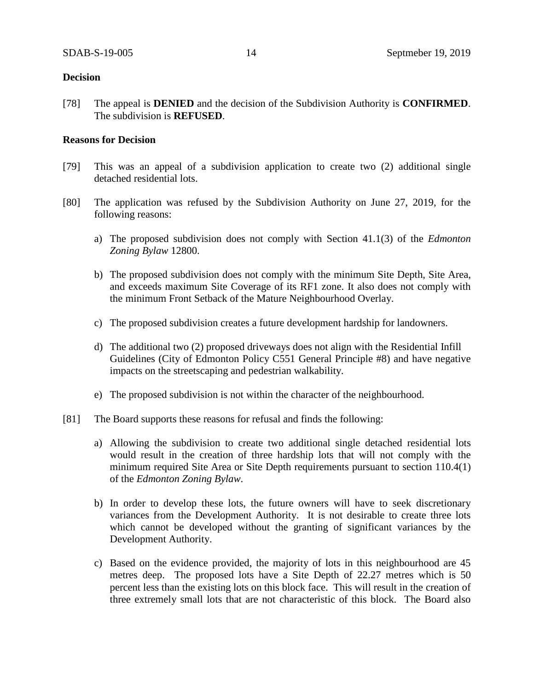## **Decision**

[78] The appeal is **DENIED** and the decision of the Subdivision Authority is **CONFIRMED**. The subdivision is **REFUSED**.

## **Reasons for Decision**

- [79] This was an appeal of a subdivision application to create two (2) additional single detached residential lots.
- [80] The application was refused by the Subdivision Authority on June 27, 2019, for the following reasons:
	- a) The proposed subdivision does not comply with Section 41.1(3) of the *Edmonton Zoning Bylaw* 12800.
	- b) The proposed subdivision does not comply with the minimum Site Depth, Site Area, and exceeds maximum Site Coverage of its RF1 zone. It also does not comply with the minimum Front Setback of the Mature Neighbourhood Overlay.
	- c) The proposed subdivision creates a future development hardship for landowners.
	- d) The additional two (2) proposed driveways does not align with the Residential Infill Guidelines (City of Edmonton Policy C551 General Principle #8) and have negative impacts on the streetscaping and pedestrian walkability.
	- e) The proposed subdivision is not within the character of the neighbourhood.
- [81] The Board supports these reasons for refusal and finds the following:
	- a) Allowing the subdivision to create two additional single detached residential lots would result in the creation of three hardship lots that will not comply with the minimum required Site Area or Site Depth requirements pursuant to section 110.4(1) of the *Edmonton Zoning Bylaw*.
	- b) In order to develop these lots, the future owners will have to seek discretionary variances from the Development Authority. It is not desirable to create three lots which cannot be developed without the granting of significant variances by the Development Authority.
	- c) Based on the evidence provided, the majority of lots in this neighbourhood are 45 metres deep. The proposed lots have a Site Depth of 22.27 metres which is 50 percent less than the existing lots on this block face. This will result in the creation of three extremely small lots that are not characteristic of this block. The Board also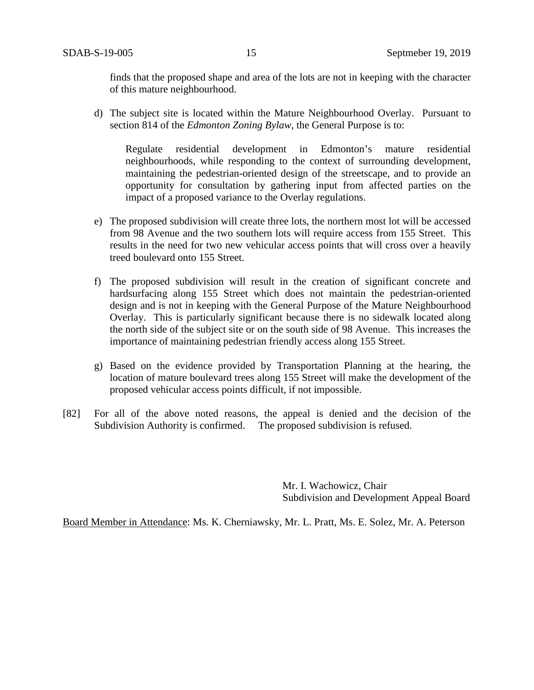finds that the proposed shape and area of the lots are not in keeping with the character of this mature neighbourhood.

d) The subject site is located within the Mature Neighbourhood Overlay. Pursuant to section 814 of the *Edmonton Zoning Bylaw*, the General Purpose is to:

Regulate residential development in Edmonton's mature residential neighbourhoods, while responding to the context of surrounding development, maintaining the pedestrian-oriented design of the streetscape, and to provide an opportunity for consultation by gathering input from affected parties on the impact of a proposed variance to the Overlay regulations.

- e) The proposed subdivision will create three lots, the northern most lot will be accessed from 98 Avenue and the two southern lots will require access from 155 Street. This results in the need for two new vehicular access points that will cross over a heavily treed boulevard onto 155 Street.
- f) The proposed subdivision will result in the creation of significant concrete and hardsurfacing along 155 Street which does not maintain the pedestrian-oriented design and is not in keeping with the General Purpose of the Mature Neighbourhood Overlay. This is particularly significant because there is no sidewalk located along the north side of the subject site or on the south side of 98 Avenue. This increases the importance of maintaining pedestrian friendly access along 155 Street.
- g) Based on the evidence provided by Transportation Planning at the hearing, the location of mature boulevard trees along 155 Street will make the development of the proposed vehicular access points difficult, if not impossible.
- [82] For all of the above noted reasons, the appeal is denied and the decision of the Subdivision Authority is confirmed. The proposed subdivision is refused.

Mr. I. Wachowicz, Chair Subdivision and Development Appeal Board

Board Member in Attendance: Ms. K. Cherniawsky, Mr. L. Pratt, Ms. E. Solez, Mr. A. Peterson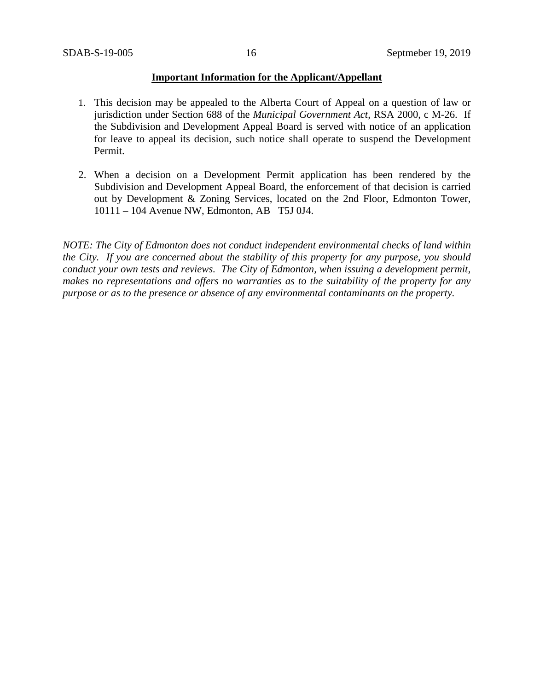## **Important Information for the Applicant/Appellant**

- 1. This decision may be appealed to the Alberta Court of Appeal on a question of law or jurisdiction under Section 688 of the *Municipal Government Act*, RSA 2000, c M-26. If the Subdivision and Development Appeal Board is served with notice of an application for leave to appeal its decision, such notice shall operate to suspend the Development Permit.
- 2. When a decision on a Development Permit application has been rendered by the Subdivision and Development Appeal Board, the enforcement of that decision is carried out by Development & Zoning Services, located on the 2nd Floor, Edmonton Tower, 10111 – 104 Avenue NW, Edmonton, AB T5J 0J4.

*NOTE: The City of Edmonton does not conduct independent environmental checks of land within the City. If you are concerned about the stability of this property for any purpose, you should conduct your own tests and reviews. The City of Edmonton, when issuing a development permit, makes no representations and offers no warranties as to the suitability of the property for any purpose or as to the presence or absence of any environmental contaminants on the property.*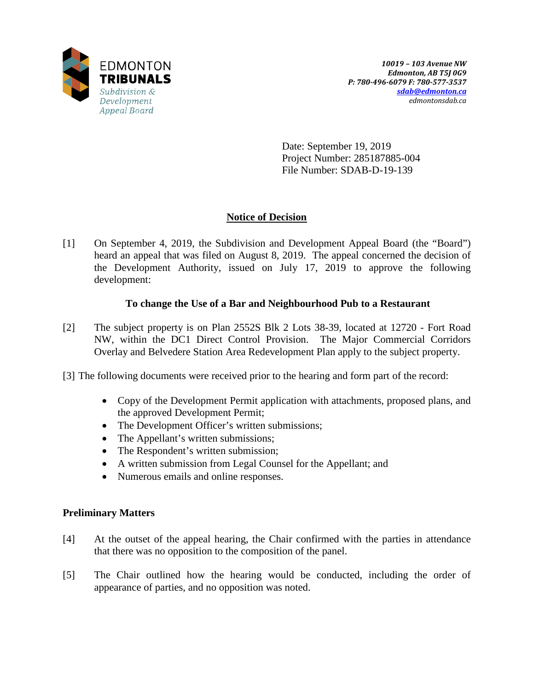

Date: September 19, 2019 Project Number: 285187885-004 File Number: SDAB-D-19-139

# **Notice of Decision**

[1] On September 4, 2019, the Subdivision and Development Appeal Board (the "Board") heard an appeal that was filed on August 8, 2019. The appeal concerned the decision of the Development Authority, issued on July 17, 2019 to approve the following development:

## **To change the Use of a Bar and Neighbourhood Pub to a Restaurant**

- [2] The subject property is on Plan 2552S Blk 2 Lots 38-39, located at 12720 Fort Road NW, within the DC1 Direct Control Provision. The Major Commercial Corridors Overlay and Belvedere Station Area Redevelopment Plan apply to the subject property.
- [3] The following documents were received prior to the hearing and form part of the record:
	- Copy of the Development Permit application with attachments, proposed plans, and the approved Development Permit;
	- The Development Officer's written submissions;
	- The Appellant's written submissions;
	- The Respondent's written submission;
	- A written submission from Legal Counsel for the Appellant; and
	- Numerous emails and online responses.

## **Preliminary Matters**

- [4] At the outset of the appeal hearing, the Chair confirmed with the parties in attendance that there was no opposition to the composition of the panel.
- [5] The Chair outlined how the hearing would be conducted, including the order of appearance of parties, and no opposition was noted.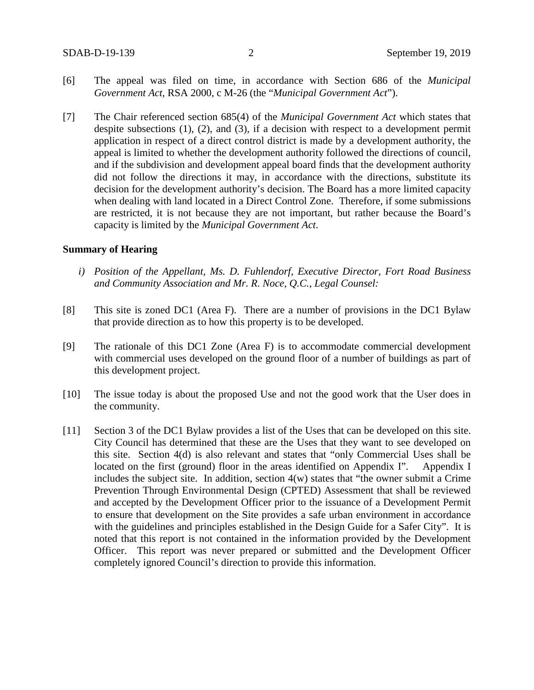- [6] The appeal was filed on time, in accordance with Section 686 of the *Municipal Government Act*, RSA 2000, c M-26 (the "*Municipal Government Act*").
- [7] The Chair referenced section 685(4) of the *Municipal Government Act* which states that despite subsections (1), (2), and (3), if a decision with respect to a development permit application in respect of a direct control district is made by a development authority, the appeal is limited to whether the development authority followed the directions of council, and if the subdivision and development appeal board finds that the development authority did not follow the directions it may, in accordance with the directions, substitute its decision for the development authority's decision. The Board has a more limited capacity when dealing with land located in a Direct Control Zone. Therefore, if some submissions are restricted, it is not because they are not important, but rather because the Board's capacity is limited by the *Municipal Government Act*.

### **Summary of Hearing**

- *i) Position of the Appellant, Ms. D. Fuhlendorf, Executive Director, Fort Road Business and Community Association and Mr. R. Noce, Q.C., Legal Counsel:*
- [8] This site is zoned DC1 (Area F). There are a number of provisions in the DC1 Bylaw that provide direction as to how this property is to be developed.
- [9] The rationale of this DC1 Zone (Area F) is to accommodate commercial development with commercial uses developed on the ground floor of a number of buildings as part of this development project.
- [10] The issue today is about the proposed Use and not the good work that the User does in the community.
- [11] Section 3 of the DC1 Bylaw provides a list of the Uses that can be developed on this site. City Council has determined that these are the Uses that they want to see developed on this site. Section 4(d) is also relevant and states that "only Commercial Uses shall be located on the first (ground) floor in the areas identified on Appendix I". Appendix I includes the subject site. In addition, section 4(w) states that "the owner submit a Crime Prevention Through Environmental Design (CPTED) Assessment that shall be reviewed and accepted by the Development Officer prior to the issuance of a Development Permit to ensure that development on the Site provides a safe urban environment in accordance with the guidelines and principles established in the Design Guide for a Safer City". It is noted that this report is not contained in the information provided by the Development Officer. This report was never prepared or submitted and the Development Officer completely ignored Council's direction to provide this information.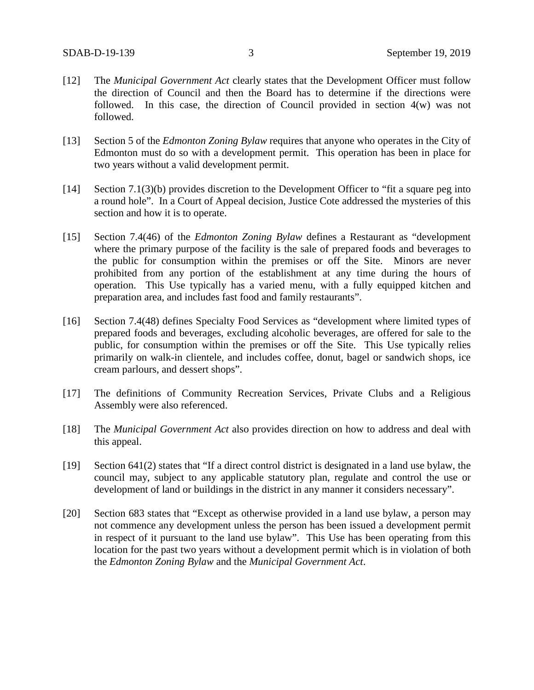- [12] The *Municipal Government Act* clearly states that the Development Officer must follow the direction of Council and then the Board has to determine if the directions were followed. In this case, the direction of Council provided in section 4(w) was not followed.
- [13] Section 5 of the *Edmonton Zoning Bylaw* requires that anyone who operates in the City of Edmonton must do so with a development permit. This operation has been in place for two years without a valid development permit.
- [14] Section 7.1(3)(b) provides discretion to the Development Officer to "fit a square peg into a round hole". In a Court of Appeal decision, Justice Cote addressed the mysteries of this section and how it is to operate.
- [15] Section 7.4(46) of the *Edmonton Zoning Bylaw* defines a Restaurant as "development where the primary purpose of the facility is the sale of prepared foods and beverages to the public for consumption within the premises or off the Site. Minors are never prohibited from any portion of the establishment at any time during the hours of operation. This Use typically has a varied menu, with a fully equipped kitchen and preparation area, and includes fast food and family restaurants".
- [16] Section 7.4(48) defines Specialty Food Services as "development where limited types of prepared foods and beverages, excluding alcoholic beverages, are offered for sale to the public, for consumption within the premises or off the Site. This Use typically relies primarily on walk-in clientele, and includes coffee, donut, bagel or sandwich shops, ice cream parlours, and dessert shops".
- [17] The definitions of Community Recreation Services, Private Clubs and a Religious Assembly were also referenced.
- [18] The *Municipal Government Act* also provides direction on how to address and deal with this appeal.
- [19] Section 641(2) states that "If a direct control district is designated in a land use bylaw, the council may, subject to any applicable statutory plan, regulate and control the use or development of land or buildings in the district in any manner it considers necessary".
- [20] Section 683 states that "Except as otherwise provided in a land use bylaw, a person may not commence any development unless the person has been issued a development permit in respect of it pursuant to the land use bylaw". This Use has been operating from this location for the past two years without a development permit which is in violation of both the *Edmonton Zoning Bylaw* and the *Municipal Government Act*.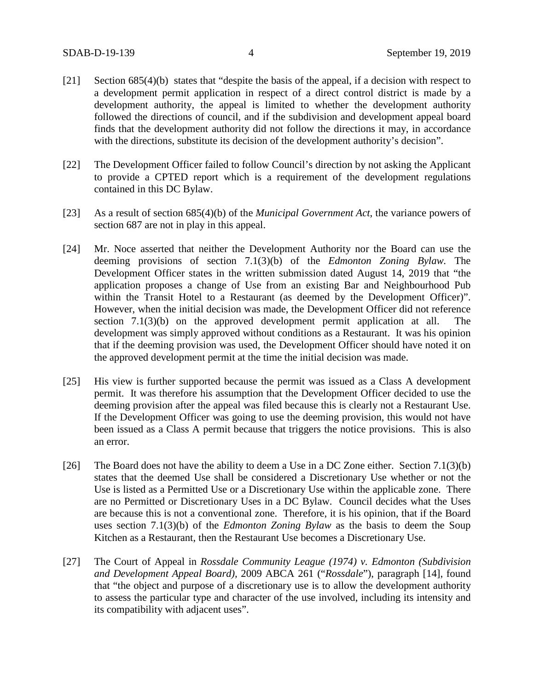- [21] Section 685(4)(b) states that "despite the basis of the appeal, if a decision with respect to a development permit application in respect of a direct control district is made by a development authority, the appeal is limited to whether the development authority followed the directions of council, and if the subdivision and development appeal board finds that the development authority did not follow the directions it may, in accordance with the directions, substitute its decision of the development authority's decision".
- [22] The Development Officer failed to follow Council's direction by not asking the Applicant to provide a CPTED report which is a requirement of the development regulations contained in this DC Bylaw.
- [23] As a result of section 685(4)(b) of the *Municipal Government Act*, the variance powers of section 687 are not in play in this appeal.
- [24] Mr. Noce asserted that neither the Development Authority nor the Board can use the deeming provisions of section 7.1(3)(b) of the *Edmonton Zoning Bylaw.* The Development Officer states in the written submission dated August 14, 2019 that "the application proposes a change of Use from an existing Bar and Neighbourhood Pub within the Transit Hotel to a Restaurant (as deemed by the Development Officer)". However, when the initial decision was made, the Development Officer did not reference section 7.1(3)(b) on the approved development permit application at all. The development was simply approved without conditions as a Restaurant. It was his opinion that if the deeming provision was used, the Development Officer should have noted it on the approved development permit at the time the initial decision was made.
- [25] His view is further supported because the permit was issued as a Class A development permit. It was therefore his assumption that the Development Officer decided to use the deeming provision after the appeal was filed because this is clearly not a Restaurant Use. If the Development Officer was going to use the deeming provision, this would not have been issued as a Class A permit because that triggers the notice provisions. This is also an error.
- [26] The Board does not have the ability to deem a Use in a DC Zone either. Section 7.1(3)(b) states that the deemed Use shall be considered a Discretionary Use whether or not the Use is listed as a Permitted Use or a Discretionary Use within the applicable zone. There are no Permitted or Discretionary Uses in a DC Bylaw. Council decides what the Uses are because this is not a conventional zone. Therefore, it is his opinion, that if the Board uses section 7.1(3)(b) of the *Edmonton Zoning Bylaw* as the basis to deem the Soup Kitchen as a Restaurant, then the Restaurant Use becomes a Discretionary Use.
- [27] The Court of Appeal in *Rossdale Community League (1974) v. Edmonton (Subdivision and Development Appeal Board),* 2009 ABCA 261 ("*Rossdale*"), paragraph [14], found that "the object and purpose of a discretionary use is to allow the development authority to assess the particular type and character of the use involved, including its intensity and its compatibility with adjacent uses".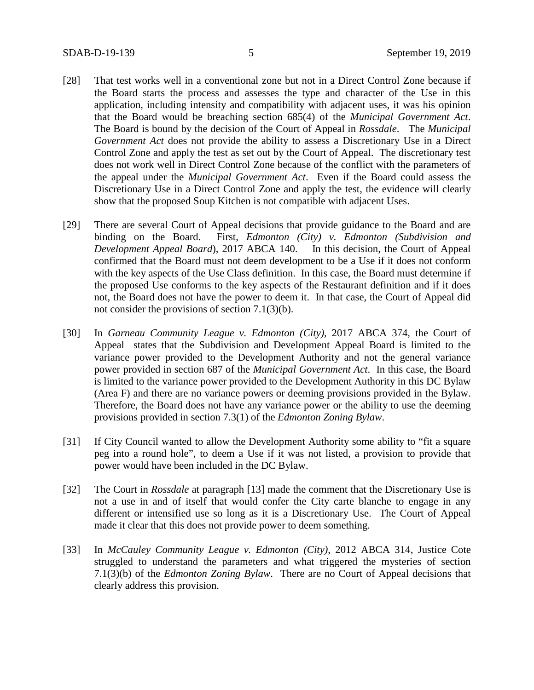- [28] That test works well in a conventional zone but not in a Direct Control Zone because if the Board starts the process and assesses the type and character of the Use in this application, including intensity and compatibility with adjacent uses, it was his opinion that the Board would be breaching section 685(4) of the *Municipal Government Act*. The Board is bound by the decision of the Court of Appeal in *Rossdale*. The *Municipal Government Act* does not provide the ability to assess a Discretionary Use in a Direct Control Zone and apply the test as set out by the Court of Appeal. The discretionary test does not work well in Direct Control Zone because of the conflict with the parameters of the appeal under the *Municipal Government Act*. Even if the Board could assess the Discretionary Use in a Direct Control Zone and apply the test, the evidence will clearly show that the proposed Soup Kitchen is not compatible with adjacent Uses.
- [29] There are several Court of Appeal decisions that provide guidance to the Board and are binding on the Board. First, *Edmonton (City) v. Edmonton (Subdivision and Development Appeal Board*), 2017 ABCA 140. In this decision, the Court of Appeal confirmed that the Board must not deem development to be a Use if it does not conform with the key aspects of the Use Class definition. In this case, the Board must determine if the proposed Use conforms to the key aspects of the Restaurant definition and if it does not, the Board does not have the power to deem it. In that case, the Court of Appeal did not consider the provisions of section 7.1(3)(b).
- [30] In *Garneau Community League v. Edmonton (City),* 2017 ABCA 374, the Court of Appeal states that the Subdivision and Development Appeal Board is limited to the variance power provided to the Development Authority and not the general variance power provided in section 687 of the *Municipal Government Act*. In this case, the Board is limited to the variance power provided to the Development Authority in this DC Bylaw (Area F) and there are no variance powers or deeming provisions provided in the Bylaw. Therefore, the Board does not have any variance power or the ability to use the deeming provisions provided in section 7.3(1) of the *Edmonton Zoning Bylaw*.
- [31] If City Council wanted to allow the Development Authority some ability to "fit a square peg into a round hole", to deem a Use if it was not listed, a provision to provide that power would have been included in the DC Bylaw.
- [32] The Court in *Rossdale* at paragraph [13] made the comment that the Discretionary Use is not a use in and of itself that would confer the City carte blanche to engage in any different or intensified use so long as it is a Discretionary Use. The Court of Appeal made it clear that this does not provide power to deem something.
- [33] In *McCauley Community League v. Edmonton (City)*, 2012 ABCA 314, Justice Cote struggled to understand the parameters and what triggered the mysteries of section 7.1(3)(b) of the *Edmonton Zoning Bylaw*. There are no Court of Appeal decisions that clearly address this provision.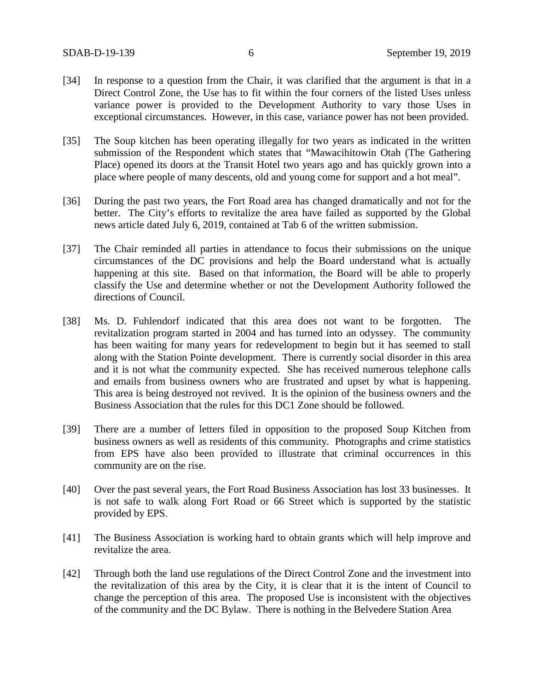- [34] In response to a question from the Chair, it was clarified that the argument is that in a Direct Control Zone, the Use has to fit within the four corners of the listed Uses unless variance power is provided to the Development Authority to vary those Uses in exceptional circumstances. However, in this case, variance power has not been provided.
- [35] The Soup kitchen has been operating illegally for two years as indicated in the written submission of the Respondent which states that "Mawacihitowin Otah (The Gathering Place) opened its doors at the Transit Hotel two years ago and has quickly grown into a place where people of many descents, old and young come for support and a hot meal".
- [36] During the past two years, the Fort Road area has changed dramatically and not for the better. The City's efforts to revitalize the area have failed as supported by the Global news article dated July 6, 2019, contained at Tab 6 of the written submission.
- [37] The Chair reminded all parties in attendance to focus their submissions on the unique circumstances of the DC provisions and help the Board understand what is actually happening at this site. Based on that information, the Board will be able to properly classify the Use and determine whether or not the Development Authority followed the directions of Council.
- [38] Ms. D. Fuhlendorf indicated that this area does not want to be forgotten. The revitalization program started in 2004 and has turned into an odyssey. The community has been waiting for many years for redevelopment to begin but it has seemed to stall along with the Station Pointe development. There is currently social disorder in this area and it is not what the community expected. She has received numerous telephone calls and emails from business owners who are frustrated and upset by what is happening. This area is being destroyed not revived. It is the opinion of the business owners and the Business Association that the rules for this DC1 Zone should be followed.
- [39] There are a number of letters filed in opposition to the proposed Soup Kitchen from business owners as well as residents of this community. Photographs and crime statistics from EPS have also been provided to illustrate that criminal occurrences in this community are on the rise.
- [40] Over the past several years, the Fort Road Business Association has lost 33 businesses. It is not safe to walk along Fort Road or 66 Street which is supported by the statistic provided by EPS.
- [41] The Business Association is working hard to obtain grants which will help improve and revitalize the area.
- [42] Through both the land use regulations of the Direct Control Zone and the investment into the revitalization of this area by the City, it is clear that it is the intent of Council to change the perception of this area. The proposed Use is inconsistent with the objectives of the community and the DC Bylaw. There is nothing in the Belvedere Station Area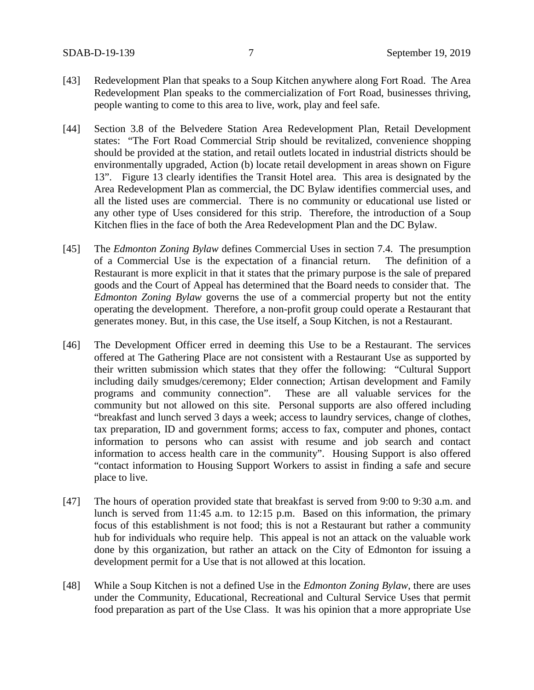- [43] Redevelopment Plan that speaks to a Soup Kitchen anywhere along Fort Road. The Area Redevelopment Plan speaks to the commercialization of Fort Road, businesses thriving, people wanting to come to this area to live, work, play and feel safe.
- [44] Section 3.8 of the Belvedere Station Area Redevelopment Plan, Retail Development states: "The Fort Road Commercial Strip should be revitalized, convenience shopping should be provided at the station, and retail outlets located in industrial districts should be environmentally upgraded, Action (b) locate retail development in areas shown on Figure 13". Figure 13 clearly identifies the Transit Hotel area. This area is designated by the Area Redevelopment Plan as commercial, the DC Bylaw identifies commercial uses, and all the listed uses are commercial. There is no community or educational use listed or any other type of Uses considered for this strip. Therefore, the introduction of a Soup Kitchen flies in the face of both the Area Redevelopment Plan and the DC Bylaw.
- [45] The *Edmonton Zoning Bylaw* defines Commercial Uses in section 7.4. The presumption of a Commercial Use is the expectation of a financial return. The definition of a Restaurant is more explicit in that it states that the primary purpose is the sale of prepared goods and the Court of Appeal has determined that the Board needs to consider that. The *Edmonton Zoning Bylaw* governs the use of a commercial property but not the entity operating the development. Therefore, a non-profit group could operate a Restaurant that generates money. But, in this case, the Use itself, a Soup Kitchen, is not a Restaurant.
- [46] The Development Officer erred in deeming this Use to be a Restaurant. The services offered at The Gathering Place are not consistent with a Restaurant Use as supported by their written submission which states that they offer the following: "Cultural Support including daily smudges/ceremony; Elder connection; Artisan development and Family programs and community connection". These are all valuable services for the community but not allowed on this site. Personal supports are also offered including "breakfast and lunch served 3 days a week; access to laundry services, change of clothes, tax preparation, ID and government forms; access to fax, computer and phones, contact information to persons who can assist with resume and job search and contact information to access health care in the community". Housing Support is also offered "contact information to Housing Support Workers to assist in finding a safe and secure place to live.
- [47] The hours of operation provided state that breakfast is served from 9:00 to 9:30 a.m. and lunch is served from 11:45 a.m. to 12:15 p.m. Based on this information, the primary focus of this establishment is not food; this is not a Restaurant but rather a community hub for individuals who require help. This appeal is not an attack on the valuable work done by this organization, but rather an attack on the City of Edmonton for issuing a development permit for a Use that is not allowed at this location.
- [48] While a Soup Kitchen is not a defined Use in the *Edmonton Zoning Bylaw*, there are uses under the Community, Educational, Recreational and Cultural Service Uses that permit food preparation as part of the Use Class. It was his opinion that a more appropriate Use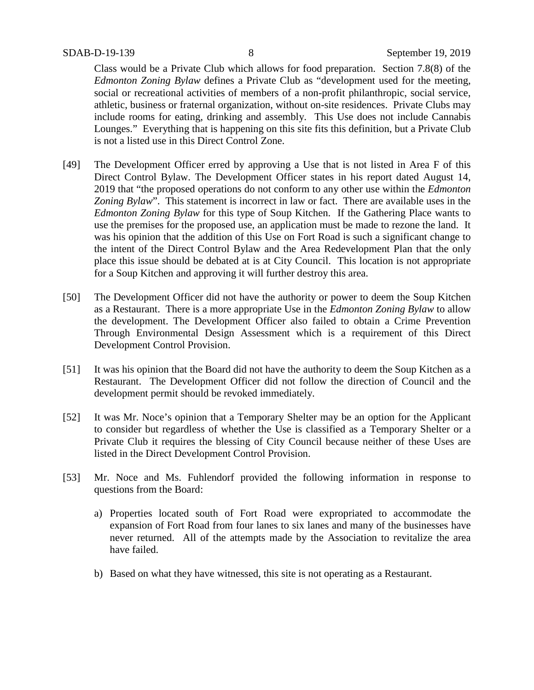Class would be a Private Club which allows for food preparation. Section 7.8(8) of the *Edmonton Zoning Bylaw* defines a Private Club as "development used for the meeting, social or recreational activities of members of a non-profit philanthropic, social service, athletic, business or fraternal organization, without on-site residences. Private Clubs may include rooms for eating, drinking and assembly. This Use does not include Cannabis Lounges." Everything that is happening on this site fits this definition, but a Private Club is not a listed use in this Direct Control Zone.

- [49] The Development Officer erred by approving a Use that is not listed in Area F of this Direct Control Bylaw. The Development Officer states in his report dated August 14, 2019 that "the proposed operations do not conform to any other use within the *Edmonton Zoning Bylaw*". This statement is incorrect in law or fact. There are available uses in the *Edmonton Zoning Bylaw* for this type of Soup Kitchen. If the Gathering Place wants to use the premises for the proposed use, an application must be made to rezone the land. It was his opinion that the addition of this Use on Fort Road is such a significant change to the intent of the Direct Control Bylaw and the Area Redevelopment Plan that the only place this issue should be debated at is at City Council. This location is not appropriate for a Soup Kitchen and approving it will further destroy this area.
- [50] The Development Officer did not have the authority or power to deem the Soup Kitchen as a Restaurant. There is a more appropriate Use in the *Edmonton Zoning Bylaw* to allow the development. The Development Officer also failed to obtain a Crime Prevention Through Environmental Design Assessment which is a requirement of this Direct Development Control Provision.
- [51] It was his opinion that the Board did not have the authority to deem the Soup Kitchen as a Restaurant. The Development Officer did not follow the direction of Council and the development permit should be revoked immediately.
- [52] It was Mr. Noce's opinion that a Temporary Shelter may be an option for the Applicant to consider but regardless of whether the Use is classified as a Temporary Shelter or a Private Club it requires the blessing of City Council because neither of these Uses are listed in the Direct Development Control Provision.
- [53] Mr. Noce and Ms. Fuhlendorf provided the following information in response to questions from the Board:
	- a) Properties located south of Fort Road were expropriated to accommodate the expansion of Fort Road from four lanes to six lanes and many of the businesses have never returned. All of the attempts made by the Association to revitalize the area have failed.
	- b) Based on what they have witnessed, this site is not operating as a Restaurant.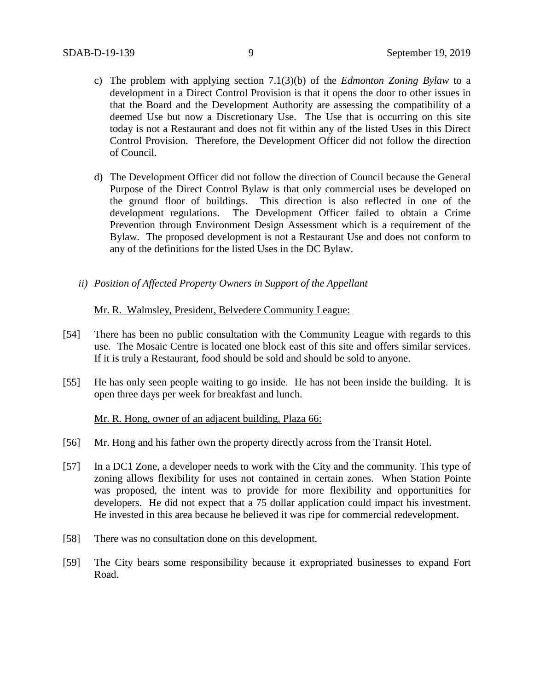- c) The problem with applying section 7.1(3)(b) of the *Edmonton Zoning Bylaw* to a development in a Direct Control Provision is that it opens the door to other issues in that the Board and the Development Authority are assessing the compatibility of a deemed Use but now a Discretionary Use. The Use that is occurring on this site today is not a Restaurant and does not fit within any of the listed Uses in this Direct Control Provision. Therefore, the Development Officer did not follow the direction of Council.
- d) The Development Officer did not follow the direction of Council because the General Purpose of the Direct Control Bylaw is that only commercial uses be developed on the ground floor of buildings. This direction is also reflected in one of the development regulations. The Development Officer failed to obtain a Crime Prevention through Environment Design Assessment which is a requirement of the Bylaw. The proposed development is not a Restaurant Use and does not conform to any of the definitions for the listed Uses in the DC Bylaw.
- *ii) Position of Affected Property Owners in Support of the Appellant*

## Mr. R. Walmsley, President, Belvedere Community League:

- [54] There has been no public consultation with the Community League with regards to this use. The Mosaic Centre is located one block east of this site and offers similar services. If it is truly a Restaurant, food should be sold and should be sold to anyone.
- [55] He has only seen people waiting to go inside. He has not been inside the building. It is open three days per week for breakfast and lunch.

#### Mr. R. Hong, owner of an adjacent building, Plaza 66:

- [56] Mr. Hong and his father own the property directly across from the Transit Hotel.
- [57] In a DC1 Zone, a developer needs to work with the City and the community. This type of zoning allows flexibility for uses not contained in certain zones. When Station Pointe was proposed, the intent was to provide for more flexibility and opportunities for developers. He did not expect that a 75 dollar application could impact his investment. He invested in this area because he believed it was ripe for commercial redevelopment.
- [58] There was no consultation done on this development.
- [59] The City bears some responsibility because it expropriated businesses to expand Fort Road.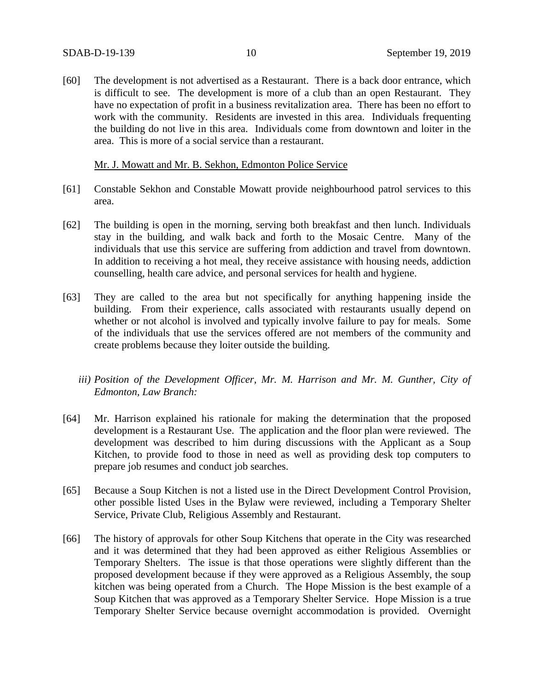[60] The development is not advertised as a Restaurant. There is a back door entrance, which is difficult to see. The development is more of a club than an open Restaurant. They have no expectation of profit in a business revitalization area. There has been no effort to work with the community. Residents are invested in this area. Individuals frequenting the building do not live in this area. Individuals come from downtown and loiter in the area. This is more of a social service than a restaurant.

#### Mr. J. Mowatt and Mr. B. Sekhon, Edmonton Police Service

- [61] Constable Sekhon and Constable Mowatt provide neighbourhood patrol services to this area.
- [62] The building is open in the morning, serving both breakfast and then lunch. Individuals stay in the building, and walk back and forth to the Mosaic Centre. Many of the individuals that use this service are suffering from addiction and travel from downtown. In addition to receiving a hot meal, they receive assistance with housing needs, addiction counselling, health care advice, and personal services for health and hygiene.
- [63] They are called to the area but not specifically for anything happening inside the building. From their experience, calls associated with restaurants usually depend on whether or not alcohol is involved and typically involve failure to pay for meals. Some of the individuals that use the services offered are not members of the community and create problems because they loiter outside the building.
	- *iii) Position of the Development Officer, Mr. M. Harrison and Mr. M. Gunther, City of Edmonton, Law Branch:*
- [64] Mr. Harrison explained his rationale for making the determination that the proposed development is a Restaurant Use. The application and the floor plan were reviewed. The development was described to him during discussions with the Applicant as a Soup Kitchen, to provide food to those in need as well as providing desk top computers to prepare job resumes and conduct job searches.
- [65] Because a Soup Kitchen is not a listed use in the Direct Development Control Provision, other possible listed Uses in the Bylaw were reviewed, including a Temporary Shelter Service, Private Club, Religious Assembly and Restaurant.
- [66] The history of approvals for other Soup Kitchens that operate in the City was researched and it was determined that they had been approved as either Religious Assemblies or Temporary Shelters. The issue is that those operations were slightly different than the proposed development because if they were approved as a Religious Assembly, the soup kitchen was being operated from a Church. The Hope Mission is the best example of a Soup Kitchen that was approved as a Temporary Shelter Service. Hope Mission is a true Temporary Shelter Service because overnight accommodation is provided. Overnight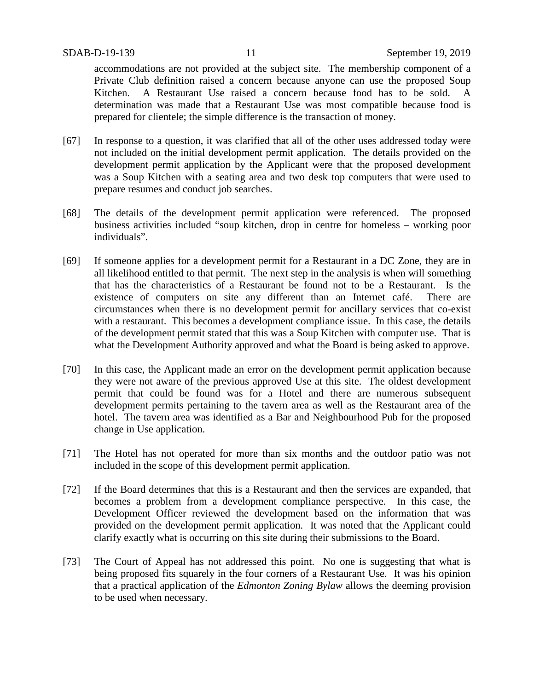accommodations are not provided at the subject site. The membership component of a Private Club definition raised a concern because anyone can use the proposed Soup Kitchen. A Restaurant Use raised a concern because food has to be sold. A determination was made that a Restaurant Use was most compatible because food is prepared for clientele; the simple difference is the transaction of money.

- [67] In response to a question, it was clarified that all of the other uses addressed today were not included on the initial development permit application. The details provided on the development permit application by the Applicant were that the proposed development was a Soup Kitchen with a seating area and two desk top computers that were used to prepare resumes and conduct job searches.
- [68] The details of the development permit application were referenced. The proposed business activities included "soup kitchen, drop in centre for homeless – working poor individuals".
- [69] If someone applies for a development permit for a Restaurant in a DC Zone, they are in all likelihood entitled to that permit. The next step in the analysis is when will something that has the characteristics of a Restaurant be found not to be a Restaurant. Is the existence of computers on site any different than an Internet café. There are circumstances when there is no development permit for ancillary services that co-exist with a restaurant. This becomes a development compliance issue. In this case, the details of the development permit stated that this was a Soup Kitchen with computer use. That is what the Development Authority approved and what the Board is being asked to approve.
- [70] In this case, the Applicant made an error on the development permit application because they were not aware of the previous approved Use at this site. The oldest development permit that could be found was for a Hotel and there are numerous subsequent development permits pertaining to the tavern area as well as the Restaurant area of the hotel. The tavern area was identified as a Bar and Neighbourhood Pub for the proposed change in Use application.
- [71] The Hotel has not operated for more than six months and the outdoor patio was not included in the scope of this development permit application.
- [72] If the Board determines that this is a Restaurant and then the services are expanded, that becomes a problem from a development compliance perspective. In this case, the Development Officer reviewed the development based on the information that was provided on the development permit application. It was noted that the Applicant could clarify exactly what is occurring on this site during their submissions to the Board.
- [73] The Court of Appeal has not addressed this point. No one is suggesting that what is being proposed fits squarely in the four corners of a Restaurant Use. It was his opinion that a practical application of the *Edmonton Zoning Bylaw* allows the deeming provision to be used when necessary.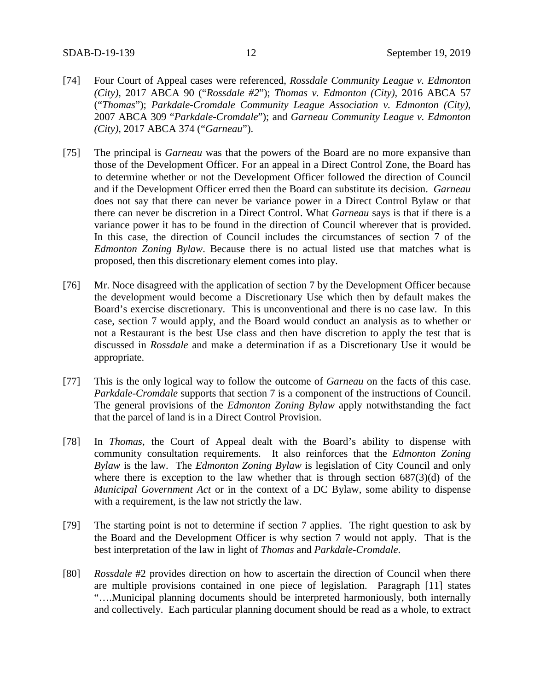- [74] Four Court of Appeal cases were referenced, *Rossdale Community League v. Edmonton (City),* 2017 ABCA 90 ("*Rossdale #2*"); *Thomas v. Edmonton (City),* 2016 ABCA 57 ("*Thomas*"); *Parkdale-Cromdale Community League Association v. Edmonton (City),* 2007 ABCA 309 "*Parkdale-Cromdale*"); and *Garneau Community League v. Edmonton (City),* 2017 ABCA 374 ("*Garneau*").
- [75] The principal is *Garneau* was that the powers of the Board are no more expansive than those of the Development Officer. For an appeal in a Direct Control Zone, the Board has to determine whether or not the Development Officer followed the direction of Council and if the Development Officer erred then the Board can substitute its decision. *Garneau* does not say that there can never be variance power in a Direct Control Bylaw or that there can never be discretion in a Direct Control. What *Garneau* says is that if there is a variance power it has to be found in the direction of Council wherever that is provided. In this case, the direction of Council includes the circumstances of section 7 of the *Edmonton Zoning Bylaw*. Because there is no actual listed use that matches what is proposed, then this discretionary element comes into play.
- [76] Mr. Noce disagreed with the application of section 7 by the Development Officer because the development would become a Discretionary Use which then by default makes the Board's exercise discretionary. This is unconventional and there is no case law. In this case, section 7 would apply, and the Board would conduct an analysis as to whether or not a Restaurant is the best Use class and then have discretion to apply the test that is discussed in *Rossdale* and make a determination if as a Discretionary Use it would be appropriate.
- [77] This is the only logical way to follow the outcome of *Garneau* on the facts of this case. *Parkdale-Cromdale* supports that section 7 is a component of the instructions of Council. The general provisions of the *Edmonton Zoning Bylaw* apply notwithstanding the fact that the parcel of land is in a Direct Control Provision.
- [78] In *Thomas*, the Court of Appeal dealt with the Board's ability to dispense with community consultation requirements. It also reinforces that the *Edmonton Zoning Bylaw* is the law. The *Edmonton Zoning Bylaw* is legislation of City Council and only where there is exception to the law whether that is through section  $687(3)(d)$  of the *Municipal Government Act* or in the context of a DC Bylaw, some ability to dispense with a requirement, is the law not strictly the law.
- [79] The starting point is not to determine if section 7 applies. The right question to ask by the Board and the Development Officer is why section 7 would not apply. That is the best interpretation of the law in light of *Thomas* and *Parkdale-Cromdale*.
- [80] *Rossdale* #2 provides direction on how to ascertain the direction of Council when there are multiple provisions contained in one piece of legislation. Paragraph [11] states "….Municipal planning documents should be interpreted harmoniously, both internally and collectively. Each particular planning document should be read as a whole, to extract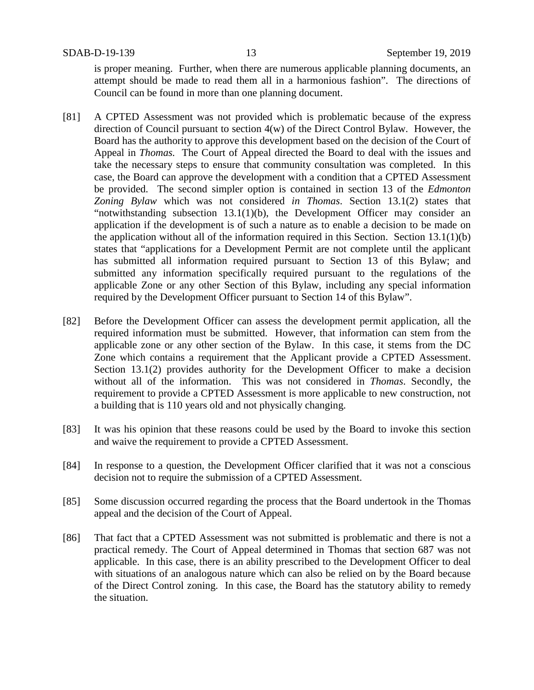is proper meaning. Further, when there are numerous applicable planning documents, an attempt should be made to read them all in a harmonious fashion". The directions of Council can be found in more than one planning document.

- [81] A CPTED Assessment was not provided which is problematic because of the express direction of Council pursuant to section 4(w) of the Direct Control Bylaw. However, the Board has the authority to approve this development based on the decision of the Court of Appeal in *Thomas.* The Court of Appeal directed the Board to deal with the issues and take the necessary steps to ensure that community consultation was completed. In this case, the Board can approve the development with a condition that a CPTED Assessment be provided. The second simpler option is contained in section 13 of the *Edmonton Zoning Bylaw* which was not considered *in Thomas*. Section 13.1(2) states that "notwithstanding subsection 13.1(1)(b), the Development Officer may consider an application if the development is of such a nature as to enable a decision to be made on the application without all of the information required in this Section. Section 13.1(1)(b) states that "applications for a Development Permit are not complete until the applicant has submitted all information required pursuant to Section 13 of this Bylaw; and submitted any information specifically required pursuant to the regulations of the applicable Zone or any other Section of this Bylaw, including any special information required by the Development Officer pursuant to Section 14 of this Bylaw".
- [82] Before the Development Officer can assess the development permit application, all the required information must be submitted. However, that information can stem from the applicable zone or any other section of the Bylaw. In this case, it stems from the DC Zone which contains a requirement that the Applicant provide a CPTED Assessment. Section 13.1(2) provides authority for the Development Officer to make a decision without all of the information. This was not considered in *Thomas*. Secondly, the requirement to provide a CPTED Assessment is more applicable to new construction, not a building that is 110 years old and not physically changing.
- [83] It was his opinion that these reasons could be used by the Board to invoke this section and waive the requirement to provide a CPTED Assessment.
- [84] In response to a question, the Development Officer clarified that it was not a conscious decision not to require the submission of a CPTED Assessment.
- [85] Some discussion occurred regarding the process that the Board undertook in the Thomas appeal and the decision of the Court of Appeal.
- [86] That fact that a CPTED Assessment was not submitted is problematic and there is not a practical remedy. The Court of Appeal determined in Thomas that section 687 was not applicable. In this case, there is an ability prescribed to the Development Officer to deal with situations of an analogous nature which can also be relied on by the Board because of the Direct Control zoning. In this case, the Board has the statutory ability to remedy the situation.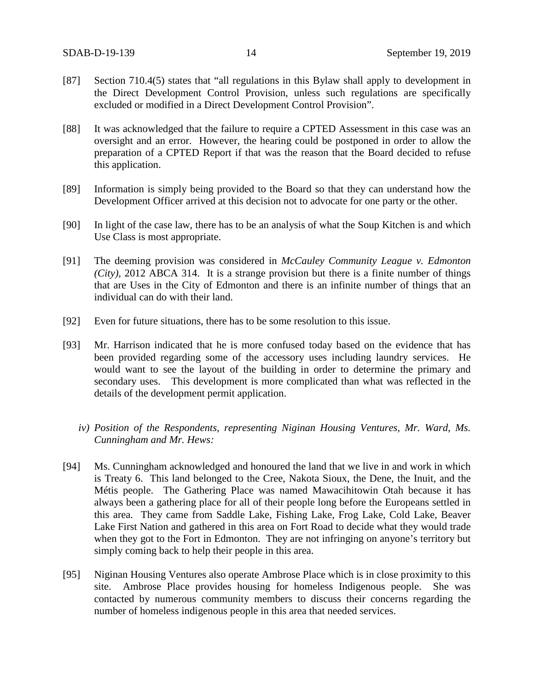- [87] Section 710.4(5) states that "all regulations in this Bylaw shall apply to development in the Direct Development Control Provision, unless such regulations are specifically excluded or modified in a Direct Development Control Provision".
- [88] It was acknowledged that the failure to require a CPTED Assessment in this case was an oversight and an error. However, the hearing could be postponed in order to allow the preparation of a CPTED Report if that was the reason that the Board decided to refuse this application.
- [89] Information is simply being provided to the Board so that they can understand how the Development Officer arrived at this decision not to advocate for one party or the other.
- [90] In light of the case law, there has to be an analysis of what the Soup Kitchen is and which Use Class is most appropriate.
- [91] The deeming provision was considered in *McCauley Community League v. Edmonton (City),* 2012 ABCA 314. It is a strange provision but there is a finite number of things that are Uses in the City of Edmonton and there is an infinite number of things that an individual can do with their land.
- [92] Even for future situations, there has to be some resolution to this issue.
- [93] Mr. Harrison indicated that he is more confused today based on the evidence that has been provided regarding some of the accessory uses including laundry services. He would want to see the layout of the building in order to determine the primary and secondary uses. This development is more complicated than what was reflected in the details of the development permit application.
	- *iv) Position of the Respondents, representing Niginan Housing Ventures, Mr. Ward, Ms. Cunningham and Mr. Hews:*
- [94] Ms. Cunningham acknowledged and honoured the land that we live in and work in which is Treaty 6. This land belonged to the Cree, Nakota Sioux, the Dene, the Inuit, and the Métis people. The Gathering Place was named Mawacihitowin Otah because it has always been a gathering place for all of their people long before the Europeans settled in this area. They came from Saddle Lake, Fishing Lake, Frog Lake, Cold Lake, Beaver Lake First Nation and gathered in this area on Fort Road to decide what they would trade when they got to the Fort in Edmonton. They are not infringing on anyone's territory but simply coming back to help their people in this area.
- [95] Niginan Housing Ventures also operate Ambrose Place which is in close proximity to this site. Ambrose Place provides housing for homeless Indigenous people. She was contacted by numerous community members to discuss their concerns regarding the number of homeless indigenous people in this area that needed services.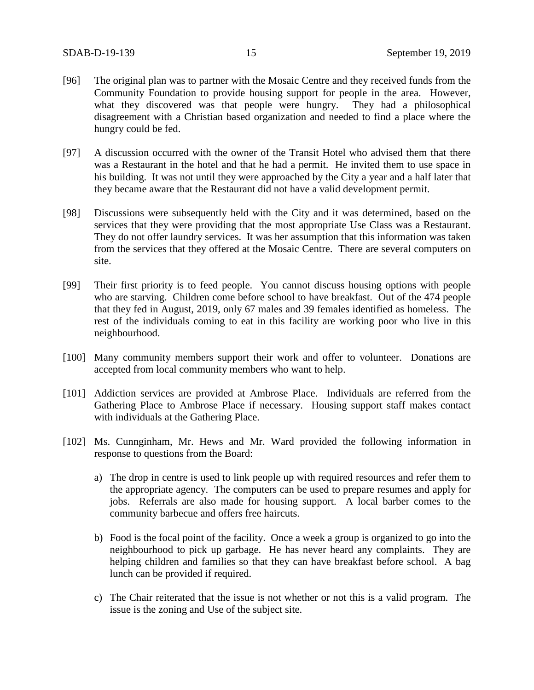- [96] The original plan was to partner with the Mosaic Centre and they received funds from the Community Foundation to provide housing support for people in the area. However, what they discovered was that people were hungry. They had a philosophical disagreement with a Christian based organization and needed to find a place where the hungry could be fed.
- [97] A discussion occurred with the owner of the Transit Hotel who advised them that there was a Restaurant in the hotel and that he had a permit. He invited them to use space in his building. It was not until they were approached by the City a year and a half later that they became aware that the Restaurant did not have a valid development permit.
- [98] Discussions were subsequently held with the City and it was determined, based on the services that they were providing that the most appropriate Use Class was a Restaurant. They do not offer laundry services. It was her assumption that this information was taken from the services that they offered at the Mosaic Centre. There are several computers on site.
- [99] Their first priority is to feed people. You cannot discuss housing options with people who are starving. Children come before school to have breakfast. Out of the 474 people that they fed in August, 2019, only 67 males and 39 females identified as homeless. The rest of the individuals coming to eat in this facility are working poor who live in this neighbourhood.
- [100] Many community members support their work and offer to volunteer. Donations are accepted from local community members who want to help.
- [101] Addiction services are provided at Ambrose Place. Individuals are referred from the Gathering Place to Ambrose Place if necessary. Housing support staff makes contact with individuals at the Gathering Place.
- [102] Ms. Cunnginham, Mr. Hews and Mr. Ward provided the following information in response to questions from the Board:
	- a) The drop in centre is used to link people up with required resources and refer them to the appropriate agency. The computers can be used to prepare resumes and apply for jobs. Referrals are also made for housing support. A local barber comes to the community barbecue and offers free haircuts.
	- b) Food is the focal point of the facility. Once a week a group is organized to go into the neighbourhood to pick up garbage. He has never heard any complaints. They are helping children and families so that they can have breakfast before school. A bag lunch can be provided if required.
	- c) The Chair reiterated that the issue is not whether or not this is a valid program. The issue is the zoning and Use of the subject site.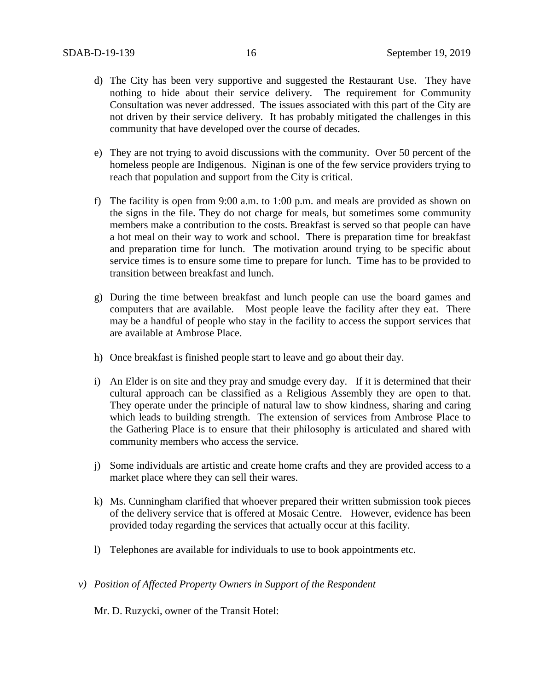- d) The City has been very supportive and suggested the Restaurant Use. They have nothing to hide about their service delivery. The requirement for Community Consultation was never addressed. The issues associated with this part of the City are not driven by their service delivery. It has probably mitigated the challenges in this community that have developed over the course of decades.
- e) They are not trying to avoid discussions with the community. Over 50 percent of the homeless people are Indigenous. Niginan is one of the few service providers trying to reach that population and support from the City is critical.
- f) The facility is open from 9:00 a.m. to 1:00 p.m. and meals are provided as shown on the signs in the file. They do not charge for meals, but sometimes some community members make a contribution to the costs. Breakfast is served so that people can have a hot meal on their way to work and school. There is preparation time for breakfast and preparation time for lunch. The motivation around trying to be specific about service times is to ensure some time to prepare for lunch. Time has to be provided to transition between breakfast and lunch.
- g) During the time between breakfast and lunch people can use the board games and computers that are available. Most people leave the facility after they eat. There may be a handful of people who stay in the facility to access the support services that are available at Ambrose Place.
- h) Once breakfast is finished people start to leave and go about their day.
- i) An Elder is on site and they pray and smudge every day. If it is determined that their cultural approach can be classified as a Religious Assembly they are open to that. They operate under the principle of natural law to show kindness, sharing and caring which leads to building strength. The extension of services from Ambrose Place to the Gathering Place is to ensure that their philosophy is articulated and shared with community members who access the service.
- j) Some individuals are artistic and create home crafts and they are provided access to a market place where they can sell their wares.
- k) Ms. Cunningham clarified that whoever prepared their written submission took pieces of the delivery service that is offered at Mosaic Centre. However, evidence has been provided today regarding the services that actually occur at this facility.
- l) Telephones are available for individuals to use to book appointments etc.
- *v) Position of Affected Property Owners in Support of the Respondent*

Mr. D. Ruzycki, owner of the Transit Hotel: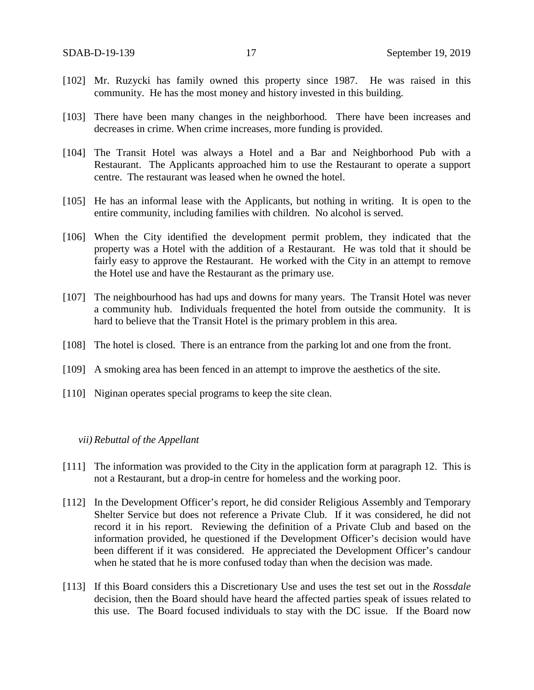- [102] Mr. Ruzycki has family owned this property since 1987. He was raised in this community. He has the most money and history invested in this building.
- [103] There have been many changes in the neighborhood. There have been increases and decreases in crime. When crime increases, more funding is provided.
- [104] The Transit Hotel was always a Hotel and a Bar and Neighborhood Pub with a Restaurant. The Applicants approached him to use the Restaurant to operate a support centre. The restaurant was leased when he owned the hotel.
- [105] He has an informal lease with the Applicants, but nothing in writing. It is open to the entire community, including families with children. No alcohol is served.
- [106] When the City identified the development permit problem, they indicated that the property was a Hotel with the addition of a Restaurant. He was told that it should be fairly easy to approve the Restaurant. He worked with the City in an attempt to remove the Hotel use and have the Restaurant as the primary use.
- [107] The neighbourhood has had ups and downs for many years. The Transit Hotel was never a community hub. Individuals frequented the hotel from outside the community. It is hard to believe that the Transit Hotel is the primary problem in this area.
- [108] The hotel is closed. There is an entrance from the parking lot and one from the front.
- [109] A smoking area has been fenced in an attempt to improve the aesthetics of the site.
- [110] Niginan operates special programs to keep the site clean.

#### *vii) Rebuttal of the Appellant*

- [111] The information was provided to the City in the application form at paragraph 12. This is not a Restaurant, but a drop-in centre for homeless and the working poor.
- [112] In the Development Officer's report, he did consider Religious Assembly and Temporary Shelter Service but does not reference a Private Club. If it was considered, he did not record it in his report. Reviewing the definition of a Private Club and based on the information provided, he questioned if the Development Officer's decision would have been different if it was considered. He appreciated the Development Officer's candour when he stated that he is more confused today than when the decision was made.
- [113] If this Board considers this a Discretionary Use and uses the test set out in the *Rossdale* decision, then the Board should have heard the affected parties speak of issues related to this use. The Board focused individuals to stay with the DC issue. If the Board now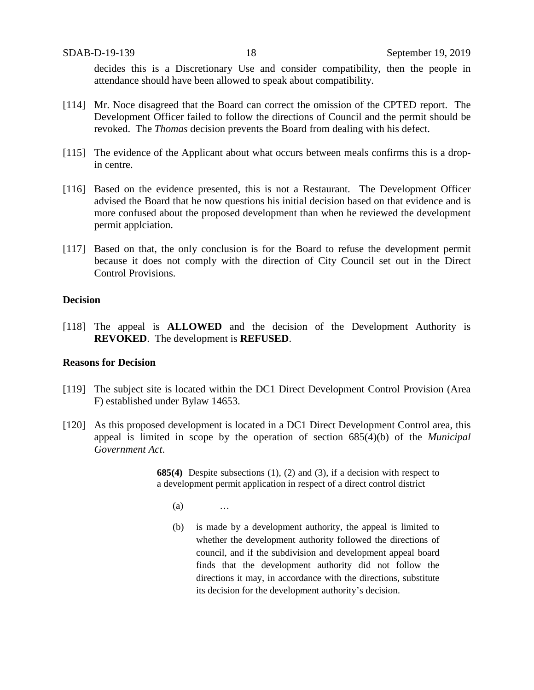decides this is a Discretionary Use and consider compatibility, then the people in attendance should have been allowed to speak about compatibility.

- [114] Mr. Noce disagreed that the Board can correct the omission of the CPTED report. The Development Officer failed to follow the directions of Council and the permit should be revoked. The *Thomas* decision prevents the Board from dealing with his defect.
- [115] The evidence of the Applicant about what occurs between meals confirms this is a dropin centre.
- [116] Based on the evidence presented, this is not a Restaurant. The Development Officer advised the Board that he now questions his initial decision based on that evidence and is more confused about the proposed development than when he reviewed the development permit applciation.
- [117] Based on that, the only conclusion is for the Board to refuse the development permit because it does not comply with the direction of City Council set out in the Direct Control Provisions.

### **Decision**

[118] The appeal is **ALLOWED** and the decision of the Development Authority is **REVOKED**. The development is **REFUSED**.

### **Reasons for Decision**

- [119] The subject site is located within the DC1 Direct Development Control Provision (Area F) established under Bylaw 14653.
- [120] As this proposed development is located in a DC1 Direct Development Control area, this appeal is limited in scope by the operation of section 685(4)(b) of the *Municipal Government Act*.

**685(4)** Despite subsections (1), (2) and (3), if a decision with respect to a development permit application in respect of a direct control district

- $(a)$  …
- (b) is made by a development authority, the appeal is limited to whether the development authority followed the directions of council, and if the subdivision and development appeal board finds that the development authority did not follow the directions it may, in accordance with the directions, substitute its decision for the development authority's decision.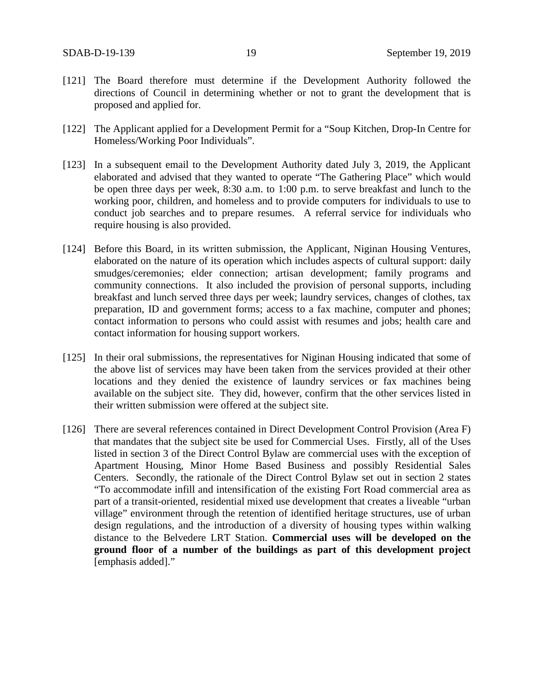- [121] The Board therefore must determine if the Development Authority followed the directions of Council in determining whether or not to grant the development that is proposed and applied for.
- [122] The Applicant applied for a Development Permit for a "Soup Kitchen, Drop-In Centre for Homeless/Working Poor Individuals".
- [123] In a subsequent email to the Development Authority dated July 3, 2019, the Applicant elaborated and advised that they wanted to operate "The Gathering Place" which would be open three days per week, 8:30 a.m. to 1:00 p.m. to serve breakfast and lunch to the working poor, children, and homeless and to provide computers for individuals to use to conduct job searches and to prepare resumes. A referral service for individuals who require housing is also provided.
- [124] Before this Board, in its written submission, the Applicant, Niginan Housing Ventures, elaborated on the nature of its operation which includes aspects of cultural support: daily smudges/ceremonies; elder connection; artisan development; family programs and community connections. It also included the provision of personal supports, including breakfast and lunch served three days per week; laundry services, changes of clothes, tax preparation, ID and government forms; access to a fax machine, computer and phones; contact information to persons who could assist with resumes and jobs; health care and contact information for housing support workers.
- [125] In their oral submissions, the representatives for Niginan Housing indicated that some of the above list of services may have been taken from the services provided at their other locations and they denied the existence of laundry services or fax machines being available on the subject site. They did, however, confirm that the other services listed in their written submission were offered at the subject site.
- [126] There are several references contained in Direct Development Control Provision (Area F) that mandates that the subject site be used for Commercial Uses. Firstly, all of the Uses listed in section 3 of the Direct Control Bylaw are commercial uses with the exception of Apartment Housing, Minor Home Based Business and possibly Residential Sales Centers. Secondly, the rationale of the Direct Control Bylaw set out in section 2 states "To accommodate infill and intensification of the existing Fort Road commercial area as part of a transit-oriented, residential mixed use development that creates a liveable "urban village" environment through the retention of identified heritage structures, use of urban design regulations, and the introduction of a diversity of housing types within walking distance to the Belvedere LRT Station. **Commercial uses will be developed on the ground floor of a number of the buildings as part of this development project** [emphasis added]."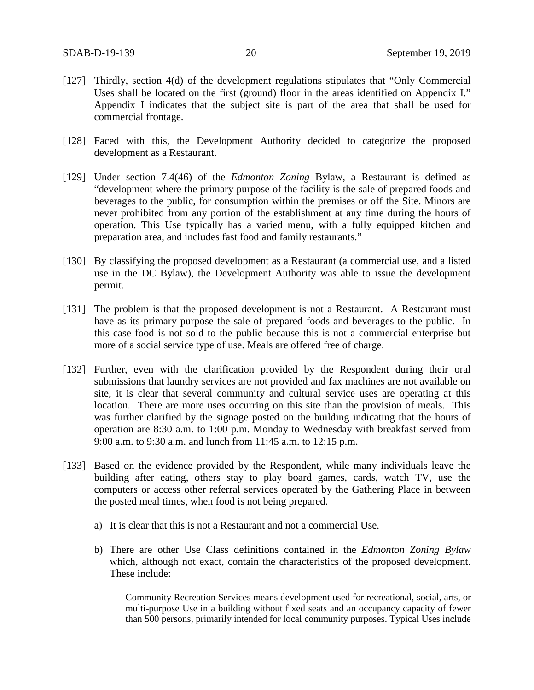- [127] Thirdly, section 4(d) of the development regulations stipulates that "Only Commercial Uses shall be located on the first (ground) floor in the areas identified on Appendix I." Appendix I indicates that the subject site is part of the area that shall be used for commercial frontage.
- [128] Faced with this, the Development Authority decided to categorize the proposed development as a Restaurant.
- [129] Under section 7.4(46) of the *Edmonton Zoning* Bylaw, a Restaurant is defined as "development where the primary purpose of the facility is the sale of prepared foods and beverages to the public, for consumption within the premises or off the Site. Minors are never prohibited from any portion of the establishment at any time during the hours of operation. This Use typically has a varied menu, with a fully equipped kitchen and preparation area, and includes fast food and family restaurants."
- [130] By classifying the proposed development as a Restaurant (a commercial use, and a listed use in the DC Bylaw), the Development Authority was able to issue the development permit.
- [131] The problem is that the proposed development is not a Restaurant. A Restaurant must have as its primary purpose the sale of prepared foods and beverages to the public. In this case food is not sold to the public because this is not a commercial enterprise but more of a social service type of use. Meals are offered free of charge.
- [132] Further, even with the clarification provided by the Respondent during their oral submissions that laundry services are not provided and fax machines are not available on site, it is clear that several community and cultural service uses are operating at this location. There are more uses occurring on this site than the provision of meals. This was further clarified by the signage posted on the building indicating that the hours of operation are 8:30 a.m. to 1:00 p.m. Monday to Wednesday with breakfast served from 9:00 a.m. to 9:30 a.m. and lunch from 11:45 a.m. to 12:15 p.m.
- [133] Based on the evidence provided by the Respondent, while many individuals leave the building after eating, others stay to play board games, cards, watch TV, use the computers or access other referral services operated by the Gathering Place in between the posted meal times, when food is not being prepared.
	- a) It is clear that this is not a Restaurant and not a commercial Use.
	- b) There are other Use Class definitions contained in the *Edmonton Zoning Bylaw* which, although not exact, contain the characteristics of the proposed development. These include:

Community Recreation Services means development used for recreational, social, arts, or multi-purpose Use in a building without fixed seats and an occupancy capacity of fewer than 500 persons, primarily intended for local community purposes. Typical Uses include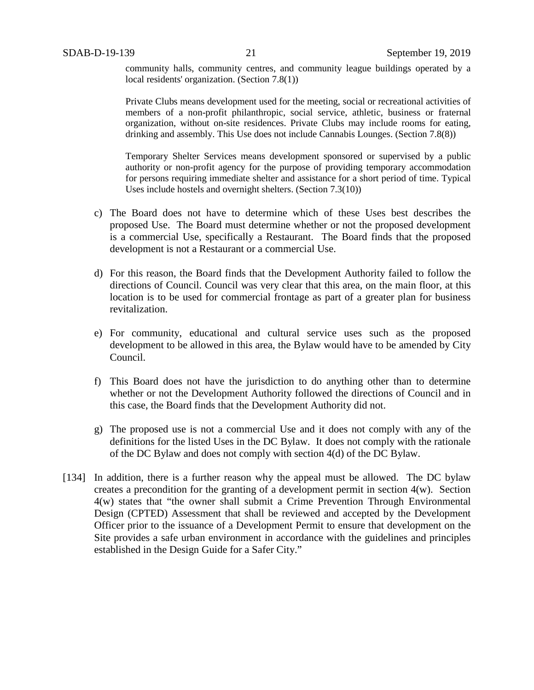community halls, community centres, and community league buildings operated by a local residents' organization. (Section 7.8(1))

Private Clubs means development used for the meeting, social or recreational activities of members of a non-profit philanthropic, social service, athletic, business or fraternal organization, without on-site residences. Private Clubs may include rooms for eating, drinking and assembly. This Use does not include Cannabis Lounges. (Section 7.8(8))

Temporary Shelter Services means development sponsored or supervised by a public authority or non-profit agency for the purpose of providing temporary accommodation for persons requiring immediate shelter and assistance for a short period of time. Typical Uses include hostels and overnight shelters. (Section 7.3(10))

- c) The Board does not have to determine which of these Uses best describes the proposed Use. The Board must determine whether or not the proposed development is a commercial Use, specifically a Restaurant. The Board finds that the proposed development is not a Restaurant or a commercial Use.
- d) For this reason, the Board finds that the Development Authority failed to follow the directions of Council. Council was very clear that this area, on the main floor, at this location is to be used for commercial frontage as part of a greater plan for business revitalization.
- e) For community, educational and cultural service uses such as the proposed development to be allowed in this area, the Bylaw would have to be amended by City Council.
- f) This Board does not have the jurisdiction to do anything other than to determine whether or not the Development Authority followed the directions of Council and in this case, the Board finds that the Development Authority did not.
- g) The proposed use is not a commercial Use and it does not comply with any of the definitions for the listed Uses in the DC Bylaw. It does not comply with the rationale of the DC Bylaw and does not comply with section 4(d) of the DC Bylaw.
- [134] In addition, there is a further reason why the appeal must be allowed. The DC bylaw creates a precondition for the granting of a development permit in section 4(w). Section 4(w) states that "the owner shall submit a Crime Prevention Through Environmental Design (CPTED) Assessment that shall be reviewed and accepted by the Development Officer prior to the issuance of a Development Permit to ensure that development on the Site provides a safe urban environment in accordance with the guidelines and principles established in the Design Guide for a Safer City."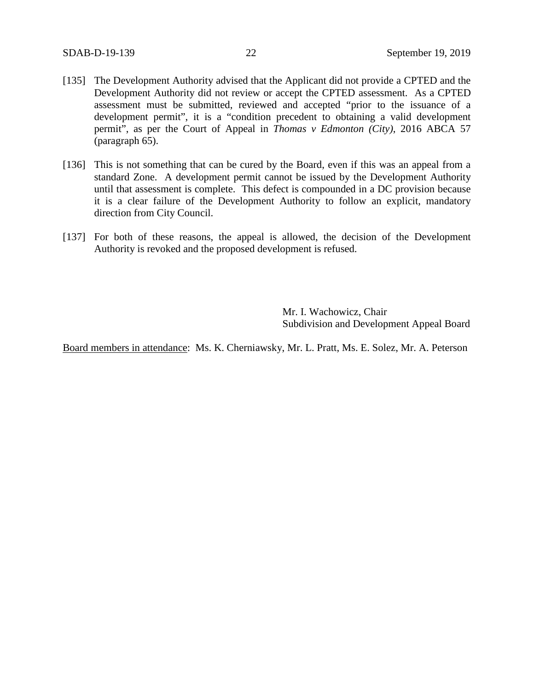- [135] The Development Authority advised that the Applicant did not provide a CPTED and the Development Authority did not review or accept the CPTED assessment. As a CPTED assessment must be submitted, reviewed and accepted "prior to the issuance of a development permit", it is a "condition precedent to obtaining a valid development permit", as per the Court of Appeal in *Thomas v Edmonton (City)*, 2016 ABCA 57 (paragraph 65).
- [136] This is not something that can be cured by the Board, even if this was an appeal from a standard Zone. A development permit cannot be issued by the Development Authority until that assessment is complete. This defect is compounded in a DC provision because it is a clear failure of the Development Authority to follow an explicit, mandatory direction from City Council.
- [137] For both of these reasons, the appeal is allowed, the decision of the Development Authority is revoked and the proposed development is refused.

Mr. I. Wachowicz, Chair Subdivision and Development Appeal Board

Board members in attendance: Ms. K. Cherniawsky, Mr. L. Pratt, Ms. E. Solez, Mr. A. Peterson